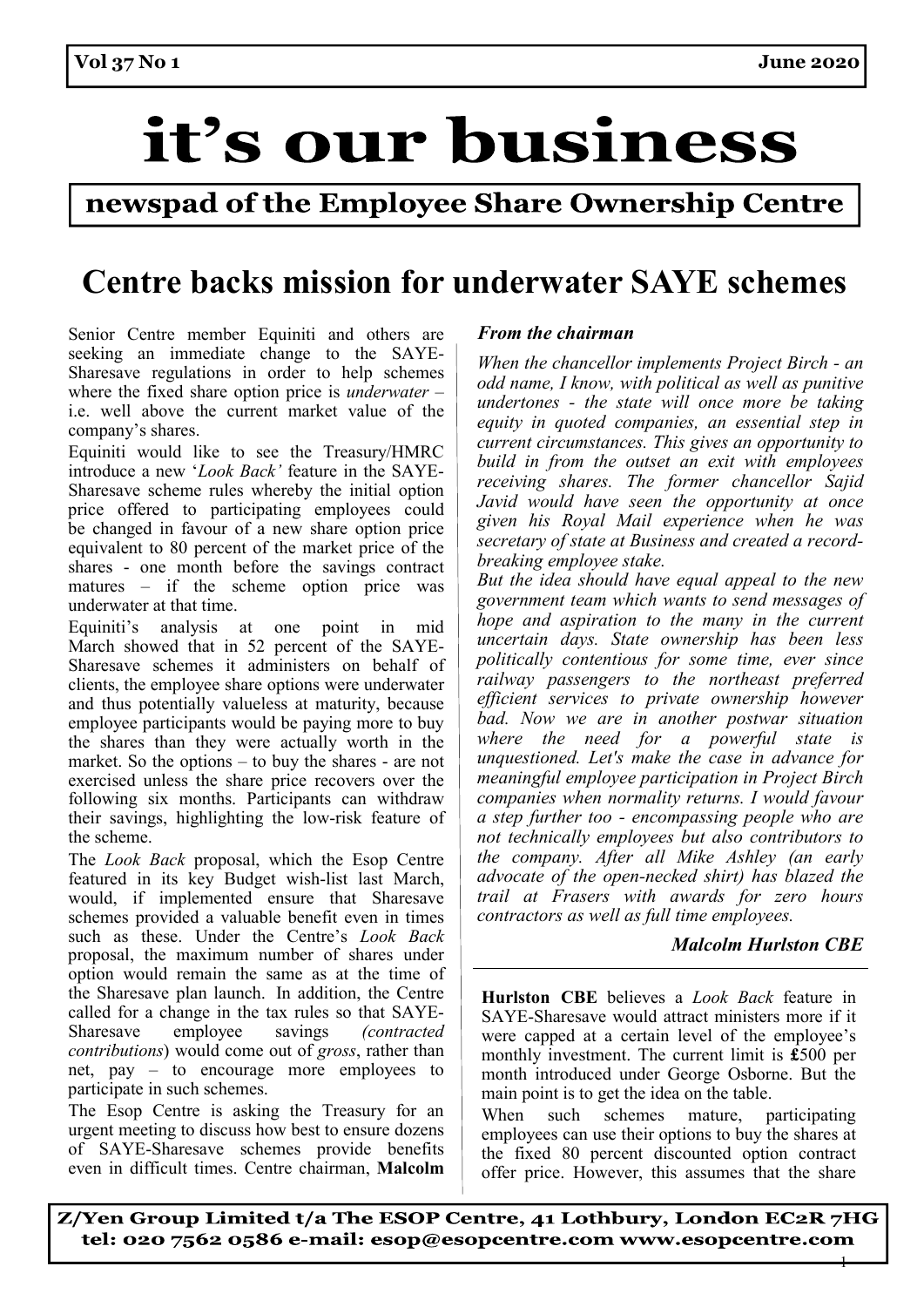## it's our business

### newspad of the Employee Share Ownership Centre

## **Centre backs mission for underwater SAYE schemes**

Senior Centre member Equiniti and others are seeking an immediate change to the SAYE-Sharesave regulations in order to help schemes where the fixed share option price is *underwater* – i.e. well above the current market value of the company's shares.

Equiniti would like to see the Treasury/HMRC introduce a new '*Look Back'* feature in the SAYE-Sharesave scheme rules whereby the initial option price offered to participating employees could be changed in favour of a new share option price equivalent to 80 percent of the market price of the shares - one month before the savings contract matures – if the scheme option price was underwater at that time.

Equiniti's analysis at one point in mid March showed that in 52 percent of the SAYE-Sharesave schemes it administers on behalf of clients, the employee share options were underwater and thus potentially valueless at maturity, because employee participants would be paying more to buy the shares than they were actually worth in the market. So the options – to buy the shares - are not exercised unless the share price recovers over the following six months. Participants can withdraw their savings, highlighting the low-risk feature of the scheme.

The *Look Back* proposal, which the Esop Centre featured in its key Budget wish-list last March, would, if implemented ensure that Sharesave schemes provided a valuable benefit even in times such as these. Under the Centre's *Look Back*  proposal, the maximum number of shares under option would remain the same as at the time of the Sharesave plan launch.  In addition, the Centre called for a change in the tax rules so that SAYE-Sharesave employee savings *(contracted contributions*) would come out of *gross*, rather than net, pay – to encourage more employees to participate in such schemes.

The Esop Centre is asking the Treasury for an urgent meeting to discuss how best to ensure dozens of SAYE-Sharesave schemes provide benefits even in difficult times. Centre chairman, **Malcolm** 

#### *From the chairman*

*When the chancellor implements Project Birch - an odd name, I know, with political as well as punitive undertones - the state will once more be taking equity in quoted companies, an essential step in current circumstances. This gives an opportunity to build in from the outset an exit with employees receiving shares. The former chancellor Sajid Javid would have seen the opportunity at once given his Royal Mail experience when he was secretary of state at Business and created a recordbreaking employee stake.* 

*But the idea should have equal appeal to the new government team which wants to send messages of hope and aspiration to the many in the current uncertain days. State ownership has been less politically contentious for some time, ever since railway passengers to the northeast preferred efficient services to private ownership however bad. Now we are in another postwar situation where the need for a powerful state is unquestioned. Let's make the case in advance for meaningful employee participation in Project Birch companies when normality returns. I would favour a step further too - encompassing people who are not technically employees but also contributors to the company. After all Mike Ashley (an early advocate of the open-necked shirt) has blazed the trail at Frasers with awards for zero hours contractors as well as full time employees.* 

#### *Malcolm Hurlston CBE*

 $\ddagger$ 

**Hurlston CBE** believes a *Look Back* feature in SAYE-Sharesave would attract ministers more if it were capped at a certain level of the employee's monthly investment. The current limit is **£**500 per month introduced under George Osborne. But the main point is to get the idea on the table.

When such schemes mature, participating employees can use their options to buy the shares at the fixed 80 percent discounted option contract offer price. However, this assumes that the share

Z/Yen Group Limited t/a The ESOP Centre, 41 Lothbury, London EC2R 7HG tel: 020 7562 0586 e-mail: esop@esopcentre.com www.esopcentre.com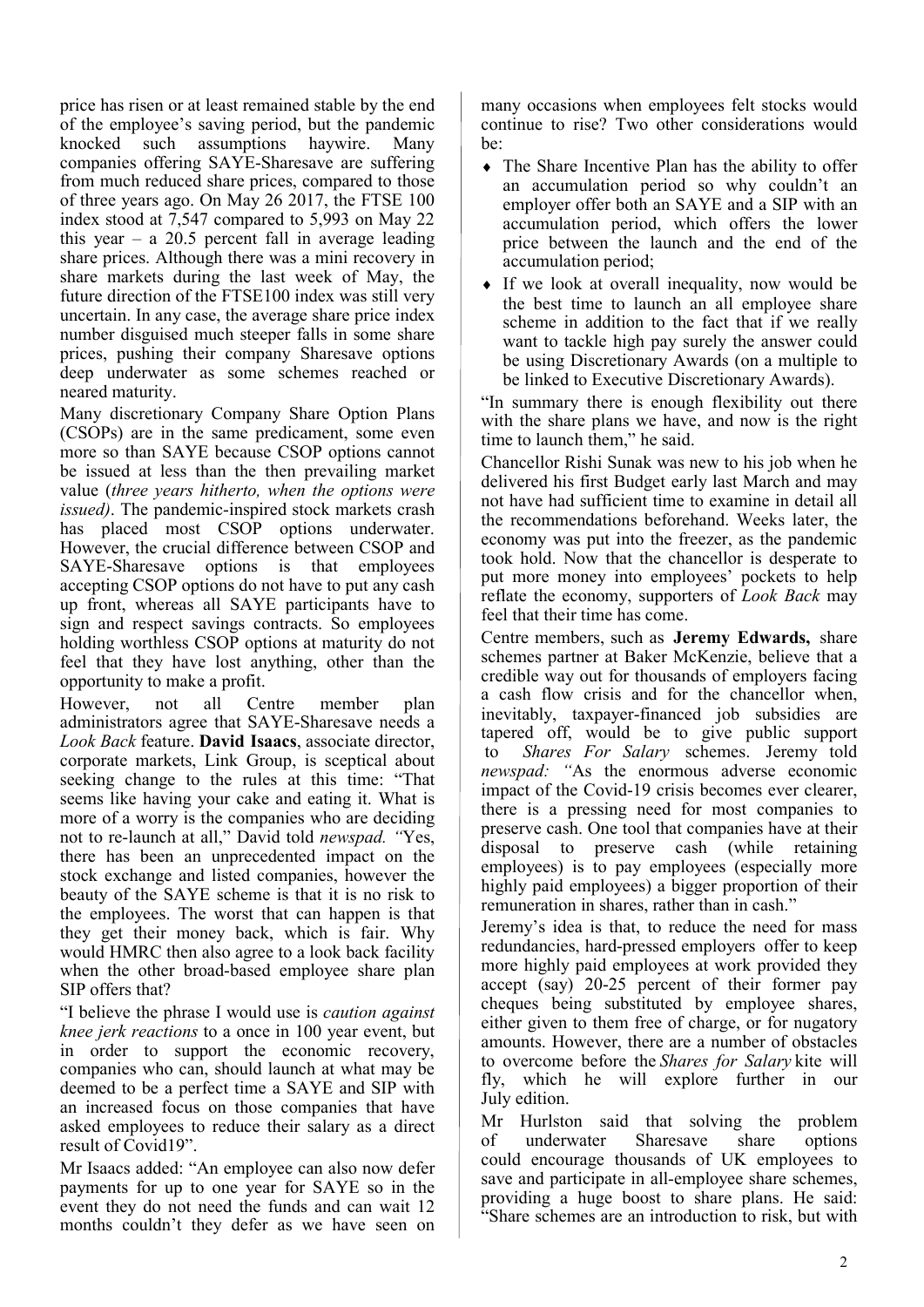price has risen or at least remained stable by the end of the employee's saving period, but the pandemic knocked such assumptions haywire. Many companies offering SAYE-Sharesave are suffering from much reduced share prices, compared to those of three years ago. On May 26 2017, the FTSE 100 index stood at 7,547 compared to 5,993 on May 22 this year – a  $20.5$  percent fall in average leading share prices. Although there was a mini recovery in share markets during the last week of May, the future direction of the FTSE100 index was still very uncertain. In any case, the average share price index number disguised much steeper falls in some share prices, pushing their company Sharesave options deep underwater as some schemes reached or neared maturity.

Many discretionary Company Share Option Plans (CSOPs) are in the same predicament, some even more so than SAYE because CSOP options cannot be issued at less than the then prevailing market value (*three years hitherto, when the options were issued)*. The pandemic-inspired stock markets crash has placed most CSOP options underwater. However, the crucial difference between CSOP and SAYE-Sharesave options is that employees accepting CSOP options do not have to put any cash up front, whereas all SAYE participants have to sign and respect savings contracts. So employees holding worthless CSOP options at maturity do not feel that they have lost anything, other than the opportunity to make a profit.

However, not all Centre member plan administrators agree that SAYE-Sharesave needs a *Look Back* feature. **David Isaacs**, associate director, corporate markets, Link Group, is sceptical about seeking change to the rules at this time: "That seems like having your cake and eating it. What is more of a worry is the companies who are deciding not to re-launch at all," David told *newspad. "*Yes, there has been an unprecedented impact on the stock exchange and listed companies, however the beauty of the SAYE scheme is that it is no risk to the employees. The worst that can happen is that they get their money back, which is fair. Why would HMRC then also agree to a look back facility when the other broad-based employee share plan SIP offers that?

"I believe the phrase I would use is *caution against knee jerk reactions* to a once in 100 year event, but in order to support the economic recovery, companies who can, should launch at what may be deemed to be a perfect time a SAYE and SIP with an increased focus on those companies that have asked employees to reduce their salary as a direct result of Covid19".

Mr Isaacs added: "An employee can also now defer payments for up to one year for SAYE so in the event they do not need the funds and can wait 12 months couldn't they defer as we have seen on

many occasions when employees felt stocks would continue to rise? Two other considerations would  $he:$ 

- The Share Incentive Plan has the ability to offer an accumulation period so why couldn't an employer offer both an SAYE and a SIP with an accumulation period, which offers the lower price between the launch and the end of the accumulation period;
- If we look at overall inequality, now would be the best time to launch an all employee share scheme in addition to the fact that if we really want to tackle high pay surely the answer could be using Discretionary Awards (on a multiple to be linked to Executive Discretionary Awards).

"In summary there is enough flexibility out there with the share plans we have, and now is the right time to launch them," he said.

Chancellor Rishi Sunak was new to his job when he delivered his first Budget early last March and may not have had sufficient time to examine in detail all the recommendations beforehand. Weeks later, the economy was put into the freezer, as the pandemic took hold. Now that the chancellor is desperate to put more money into employees' pockets to help reflate the economy, supporters of *Look Back* may feel that their time has come.

Centre members, such as  **Jeremy Edwards,**  share schemes partner at Baker McKenzie, believe that a credible way out for thousands of employers facing a cash flow crisis and for the chancellor when, inevitably, taxpayer-financed job subsidies are tapered off, would be to give public support  to *Shares For Salary* schemes.  Jeremy told *newspad: "*As the enormous adverse economic impact of the Covid-19 crisis becomes ever clearer, there is a pressing need for most companies to preserve cash. One tool that companies have at their disposal to preserve cash (while retaining employees) is to pay employees (especially more highly paid employees) a bigger proportion of their remuneration in shares, rather than in cash."

Jeremy's idea is that, to reduce the need for mass redundancies, hard-pressed employers  offer to keep more highly paid employees at work provided they accept (say) 20-25 percent of their former pay cheques being substituted by employee shares, either given to them free of charge, or for nugatory amounts. However, there are a number of obstacles to overcome before the *Shares for Salary*kite will fly, which he will explore further in our July edition.

Mr Hurlston said that solving the problem of underwater Sharesave share options could encourage thousands of UK employees to save and participate in all-employee share schemes, providing a huge boost to share plans. He said: "Share schemes are an introduction to risk, but with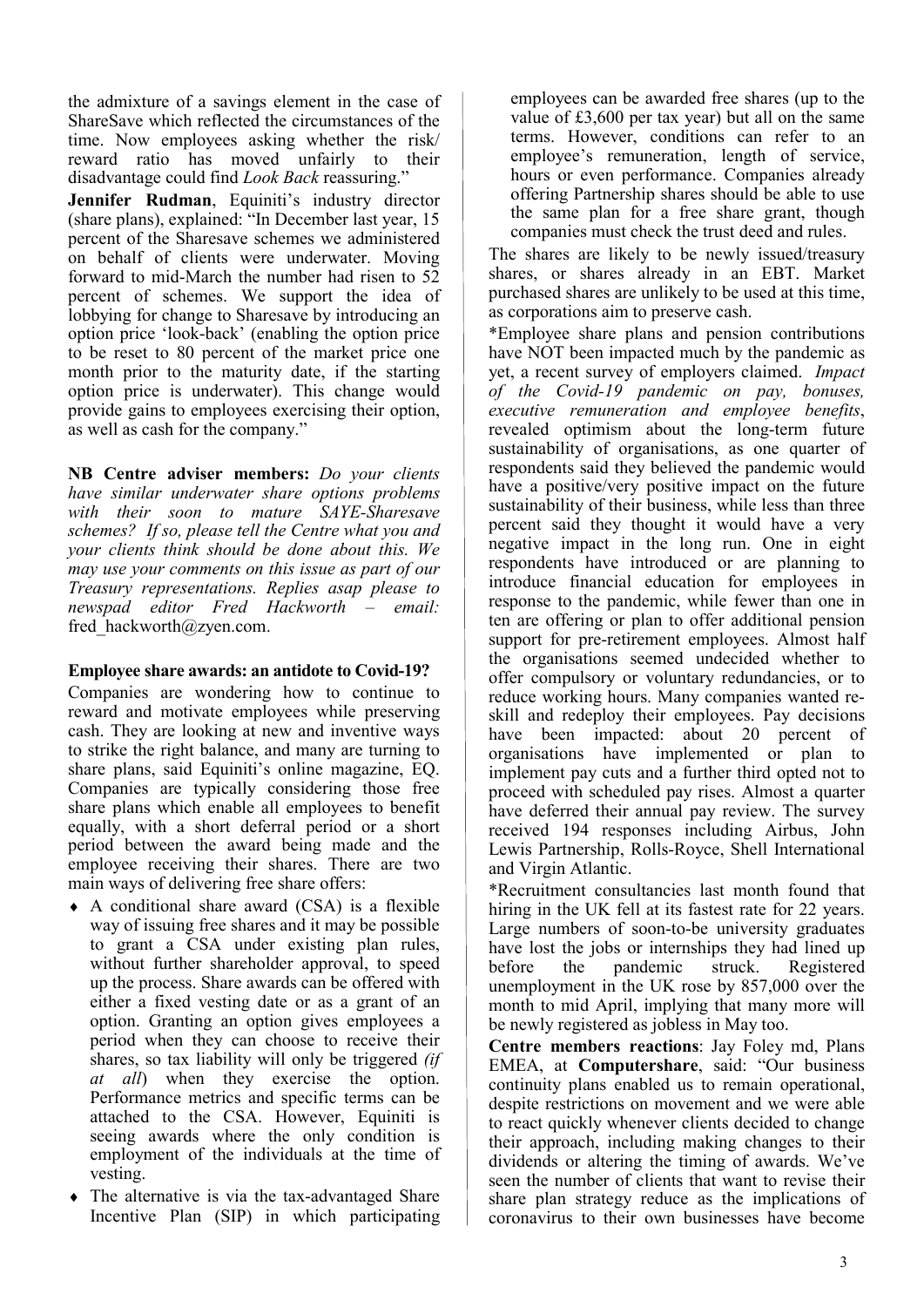the admixture of a savings element in the case of ShareSave which reflected the circumstances of the time. Now employees asking whether the risk/ reward ratio has moved unfairly to their disadvantage could find *Look Back* reassuring."

**Jennifer Rudman**, Equiniti's industry director (share plans), explained: "In December last year, 15 percent of the Sharesave schemes we administered on behalf of clients were underwater. Moving forward to mid-March the number had risen to 52 percent of schemes. We support the idea of lobbying for change to Sharesave by introducing an option price 'look-back' (enabling the option price to be reset to 80 percent of the market price one month prior to the maturity date, if the starting option price is underwater). This change would provide gains to employees exercising their option, as well as cash for the company."

**NB Centre adviser members:** *Do your clients have similar underwater share options problems with their soon to mature SAYE-Sharesave schemes? If so, please tell the Centre what you and your clients think should be done about this. We may use your comments on this issue as part of our Treasury representations. Replies asap please to newspad editor Fred Hackworth – email:*  fred\_hackworth@zyen.com.

#### **Employee share awards: an antidote to Covid-19?**

Companies are wondering how to continue to reward and motivate employees while preserving cash. They are looking at new and inventive ways to strike the right balance, and many are turning to share plans, said Equiniti's online magazine, EQ. Companies are typically considering those free share plans which enable all employees to benefit equally, with a short deferral period or a short period between the award being made and the employee receiving their shares. There are two main ways of delivering free share offers:

- $\triangle$  A conditional share award (CSA) is a flexible way of issuing free shares and it may be possible to grant a CSA under existing plan rules, without further shareholder approval, to speed up the process. Share awards can be offered with either a fixed vesting date or as a grant of an option. Granting an option gives employees a period when they can choose to receive their shares, so tax liability will only be triggered *(if at all*) when they exercise the option. Performance metrics and specific terms can be attached to the CSA. However, Equiniti is seeing awards where the only condition is employment of the individuals at the time of vesting.
- The alternative is via the tax-advantaged Share Incentive Plan (SIP) in which participating

employees can be awarded free shares (up to the value of £3,600 per tax year) but all on the same terms. However, conditions can refer to an employee's remuneration, length of service, hours or even performance. Companies already offering Partnership shares should be able to use the same plan for a free share grant, though companies must check the trust deed and rules.

The shares are likely to be newly issued/treasury shares, or shares already in an EBT. Market purchased shares are unlikely to be used at this time, as corporations aim to preserve cash.

\*Employee share plans and pension contributions have NOT been impacted much by the pandemic as yet, a recent survey of employers claimed. *Impact of the Covid-19 pandemic on pay, bonuses, executive remuneration and employee benefits*, revealed optimism about the long-term future sustainability of organisations, as one quarter of respondents said they believed the pandemic would have a positive/very positive impact on the future sustainability of their business, while less than three percent said they thought it would have a very negative impact in the long run. One in eight respondents have introduced or are planning to introduce financial education for employees in response to the pandemic, while fewer than one in ten are offering or plan to offer additional pension support for pre-retirement employees. Almost half the organisations seemed undecided whether to offer compulsory or voluntary redundancies, or to reduce working hours. Many companies wanted reskill and redeploy their employees. Pay decisions have been impacted: about 20 percent of organisations have implemented or plan to implement pay cuts and a further third opted not to proceed with scheduled pay rises. Almost a quarter have deferred their annual pay review. The survey received 194 responses including Airbus, John Lewis Partnership, Rolls-Royce, Shell International and Virgin Atlantic.

\*Recruitment consultancies last month found that hiring in the UK fell at its fastest rate for 22 years. Large numbers of soon-to-be university graduates have lost the jobs or internships they had lined up<br>before the pandemic struck. Registered before the pandemic struck. Registered unemployment in the UK rose by 857,000 over the month to mid April, implying that many more will be newly registered as jobless in May too.

**Centre members reactions**: Jay Foley md, Plans EMEA, at **Computershare**, said: "Our business continuity plans enabled us to remain operational, despite restrictions on movement and we were able to react quickly whenever clients decided to change their approach, including making changes to their dividends or altering the timing of awards. We've seen the number of clients that want to revise their share plan strategy reduce as the implications of coronavirus to their own businesses have become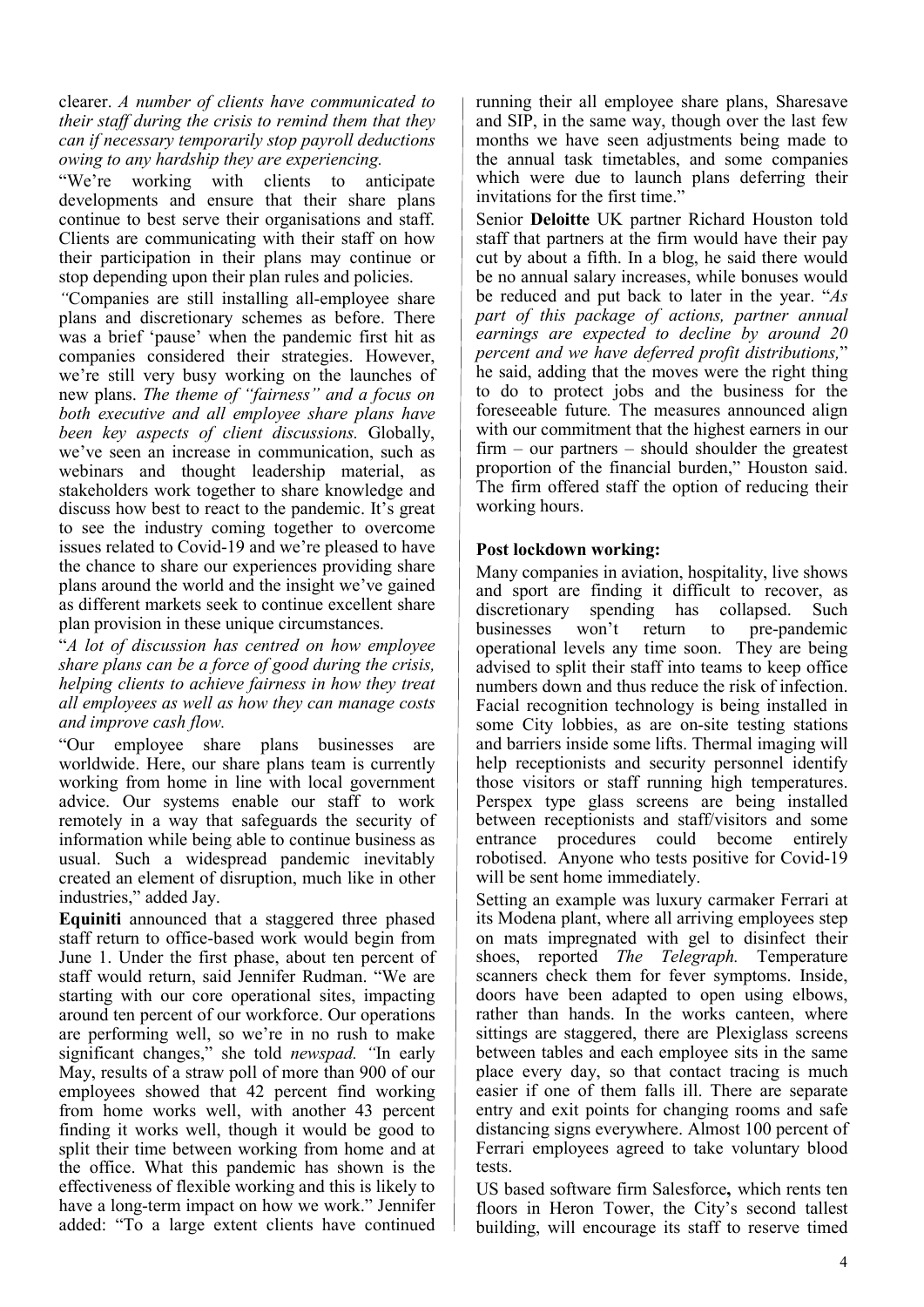clearer. *A number of clients have communicated to their staff during the crisis to remind them that they can if necessary temporarily stop payroll deductions owing to any hardship they are experiencing.* 

"We're working with clients to anticipate developments and ensure that their share plans continue to best serve their organisations and staff. Clients are communicating with their staff on how their participation in their plans may continue or stop depending upon their plan rules and policies.

*"*Companies are still installing all-employee share plans and discretionary schemes as before. There was a brief 'pause' when the pandemic first hit as companies considered their strategies. However, we're still very busy working on the launches of new plans. *The theme of "fairness" and a focus on both executive and all employee share plans have been key aspects of client discussions.* Globally, we've seen an increase in communication, such as webinars and thought leadership material, as stakeholders work together to share knowledge and discuss how best to react to the pandemic. It's great to see the industry coming together to overcome issues related to Covid-19 and we're pleased to have the chance to share our experiences providing share plans around the world and the insight we've gained as different markets seek to continue excellent share plan provision in these unique circumstances.

"*A lot of discussion has centred on how employee share plans can be a force of good during the crisis, helping clients to achieve fairness in how they treat all employees as well as how they can manage costs and improve cash flow.* 

"Our employee share plans businesses are worldwide. Here, our share plans team is currently working from home in line with local government advice. Our systems enable our staff to work remotely in a way that safeguards the security of information while being able to continue business as usual. Such a widespread pandemic inevitably created an element of disruption, much like in other industries," added Jay.

**Equiniti** announced that a staggered three phased staff return to office-based work would begin from June 1. Under the first phase, about ten percent of staff would return, said Jennifer Rudman. "We are starting with our core operational sites, impacting around ten percent of our workforce. Our operations are performing well, so we're in no rush to make significant changes," she told *newspad. "*In early May, results of a straw poll of more than 900 of our employees showed that 42 percent find working from home works well, with another 43 percent finding it works well, though it would be good to split their time between working from home and at the office. What this pandemic has shown is the effectiveness of flexible working and this is likely to have a long-term impact on how we work." Jennifer added: "To a large extent clients have continued running their all employee share plans, Sharesave and SIP, in the same way, though over the last few months we have seen adjustments being made to the annual task timetables, and some companies which were due to launch plans deferring their invitations for the first time."

Senior **Deloitte** UK partner Richard Houston told staff that partners at the firm would have their pay cut by about a fifth. In a blog, he said there would be no annual salary increases, while bonuses would be reduced and put back to later in the year. "*As part of this package of actions, partner annual earnings are expected to decline by around 20 percent and we have deferred profit distributions,*" he said, adding that the moves were the right thing to do to protect jobs and the business for the foreseeable future*.* The measures announced align with our commitment that the highest earners in our  $firm - our partners - should should be the greatest$ proportion of the financial burden," Houston said. The firm offered staff the option of reducing their working hours.

#### **Post lockdown working:**

Many companies in aviation, hospitality, live shows and sport are finding it difficult to recover, as discretionary spending has collapsed. Such businesses won't return to pre-pandemic operational levels any time soon. They are being advised to split their staff into teams to keep office numbers down and thus reduce the risk of infection. Facial recognition technology is being installed in some City lobbies, as are on-site testing stations and barriers inside some lifts. Thermal imaging will help receptionists and security personnel identify those visitors or staff running high temperatures. Perspex type glass screens are being installed between receptionists and staff/visitors and some entrance procedures could become entirely robotised. Anyone who tests positive for Covid-19 will be sent home immediately.

Setting an example was luxury carmaker Ferrari at its Modena plant, where all arriving employees step on mats impregnated with gel to disinfect their shoes, reported *The Telegraph.* Temperature scanners check them for fever symptoms. Inside, doors have been adapted to open using elbows, rather than hands. In the works canteen, where sittings are staggered, there are Plexiglass screens between tables and each employee sits in the same place every day, so that contact tracing is much easier if one of them falls ill. There are separate entry and exit points for changing rooms and safe distancing signs everywhere. Almost 100 percent of Ferrari employees agreed to take voluntary blood tests.

US based software firm Salesforce**,** which rents ten floors in Heron Tower, the City's second tallest building, will encourage its staff to reserve timed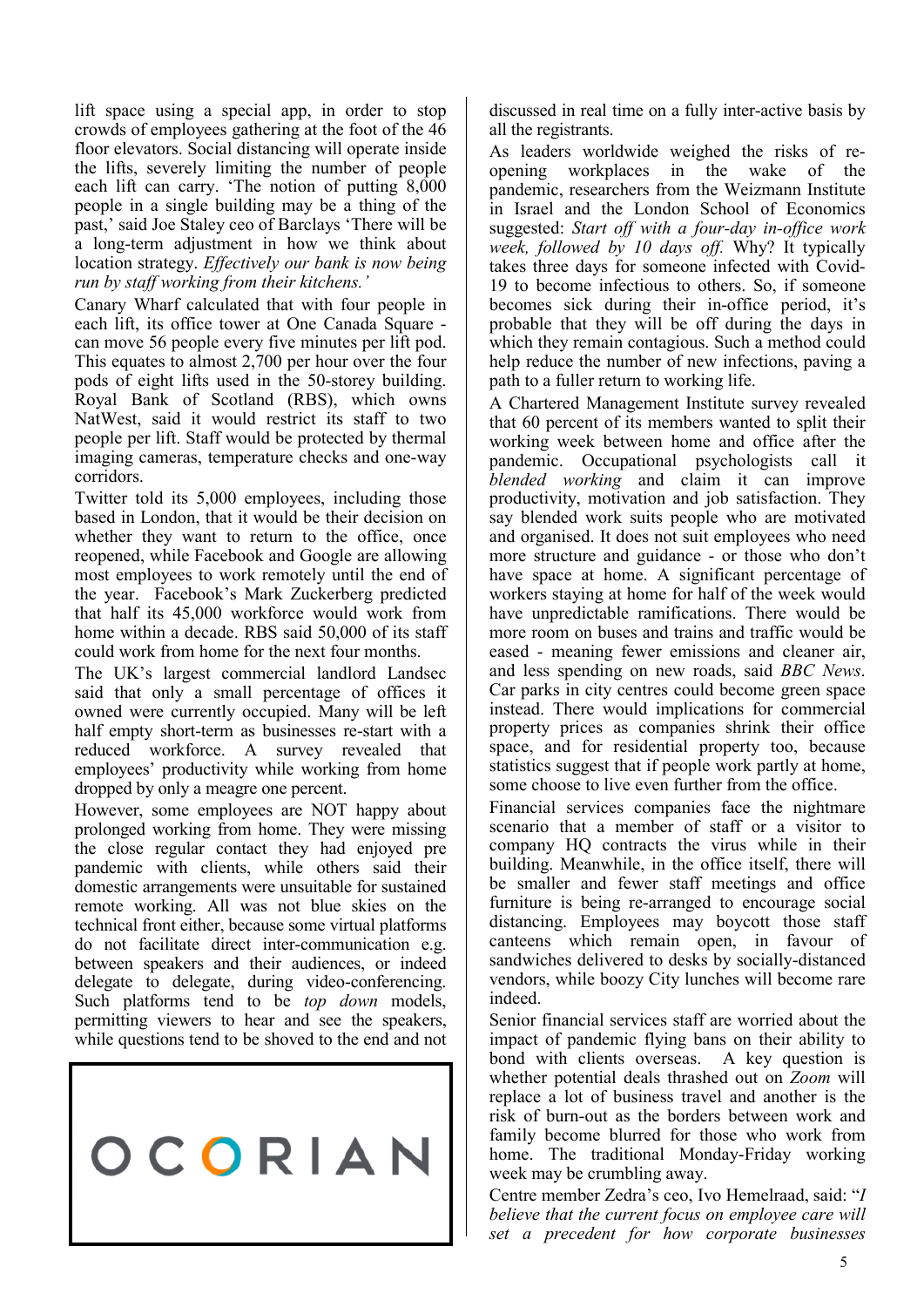lift space using a special app, in order to stop crowds of employees gathering at the foot of the 46 floor elevators. Social distancing will operate inside the lifts, severely limiting the number of people each lift can carry. 'The notion of putting 8,000 people in a single building may be a thing of the past,' said Joe Staley ceo of Barclays 'There will be a long-term adjustment in how we think about location strategy. *Effectively our bank is now being run by staff working from their kitchens.'*

Canary Wharf calculated that with four people in each lift, its office tower at One Canada Square can move 56 people every five minutes per lift pod. This equates to almost 2,700 per hour over the four pods of eight lifts used in the 50-storey building. Royal Bank of Scotland (RBS), which owns NatWest, said it would restrict its staff to two people per lift. Staff would be protected by thermal imaging cameras, temperature checks and one-way corridors.

Twitter told its 5,000 employees, including those based in London, that it would be their decision on whether they want to return to the office, once reopened, while Facebook and Google are allowing most employees to work remotely until the end of the year. Facebook's Mark Zuckerberg predicted that half its 45,000 workforce would work from home within a decade. RBS said 50,000 of its staff could work from home for the next four months.

The UK's largest commercial landlord Landsec said that only a small percentage of offices it owned were currently occupied. Many will be left half empty short-term as businesses re-start with a reduced workforce. A survey revealed that employees' productivity while working from home dropped by only a meagre one percent.

However, some employees are NOT happy about prolonged working from home. They were missing the close regular contact they had enjoyed pre pandemic with clients, while others said their domestic arrangements were unsuitable for sustained remote working. All was not blue skies on the technical front either, because some virtual platforms do not facilitate direct inter-communication e.g. between speakers and their audiences, or indeed delegate to delegate, during video-conferencing. Such platforms tend to be *top down* models, permitting viewers to hear and see the speakers, while questions tend to be shoved to the end and not

OCORIAN

discussed in real time on a fully inter-active basis by all the registrants.

As leaders worldwide weighed the risks of reopening workplaces in the wake of the pandemic, researchers from the Weizmann Institute in Israel and the London School of Economics suggested: *Start off with a four-day in-office work week, followed by 10 days off.* Why? It typically takes three days for someone infected with Covid-19 to become infectious to others. So, if someone becomes sick during their in-office period, it's probable that they will be off during the days in which they remain contagious. Such a method could help reduce the number of new infections, paving a path to a fuller return to working life.

A Chartered Management Institute survey revealed that 60 percent of its members wanted to split their working week between home and office after the pandemic. Occupational psychologists call it *blended working* and claim it can improve productivity, motivation and job satisfaction. They say blended work suits people who are motivated and organised. It does not suit employees who need more structure and guidance - or those who don't have space at home. A significant percentage of workers staying at home for half of the week would have unpredictable ramifications. There would be more room on buses and trains and traffic would be eased - meaning fewer emissions and cleaner air, and less spending on new roads, said *BBC News*. Car parks in city centres could become green space instead. There would implications for commercial property prices as companies shrink their office space, and for residential property too, because statistics suggest that if people work partly at home, some choose to live even further from the office.

Financial services companies face the nightmare scenario that a member of staff or a visitor to company HQ contracts the virus while in their building. Meanwhile, in the office itself, there will be smaller and fewer staff meetings and office furniture is being re-arranged to encourage social distancing. Employees may boycott those staff canteens which remain open, in favour of sandwiches delivered to desks by socially-distanced vendors, while boozy City lunches will become rare indeed.

Senior financial services staff are worried about the impact of pandemic flying bans on their ability to bond with clients overseas. A key question is whether potential deals thrashed out on *Zoom* will replace a lot of business travel and another is the risk of burn-out as the borders between work and family become blurred for those who work from home. The traditional Monday-Friday working week may be crumbling away.

Centre member Zedra's ceo, Ivo Hemelraad, said: "*I believe that the current focus on employee care will set a precedent for how corporate businesses* 

5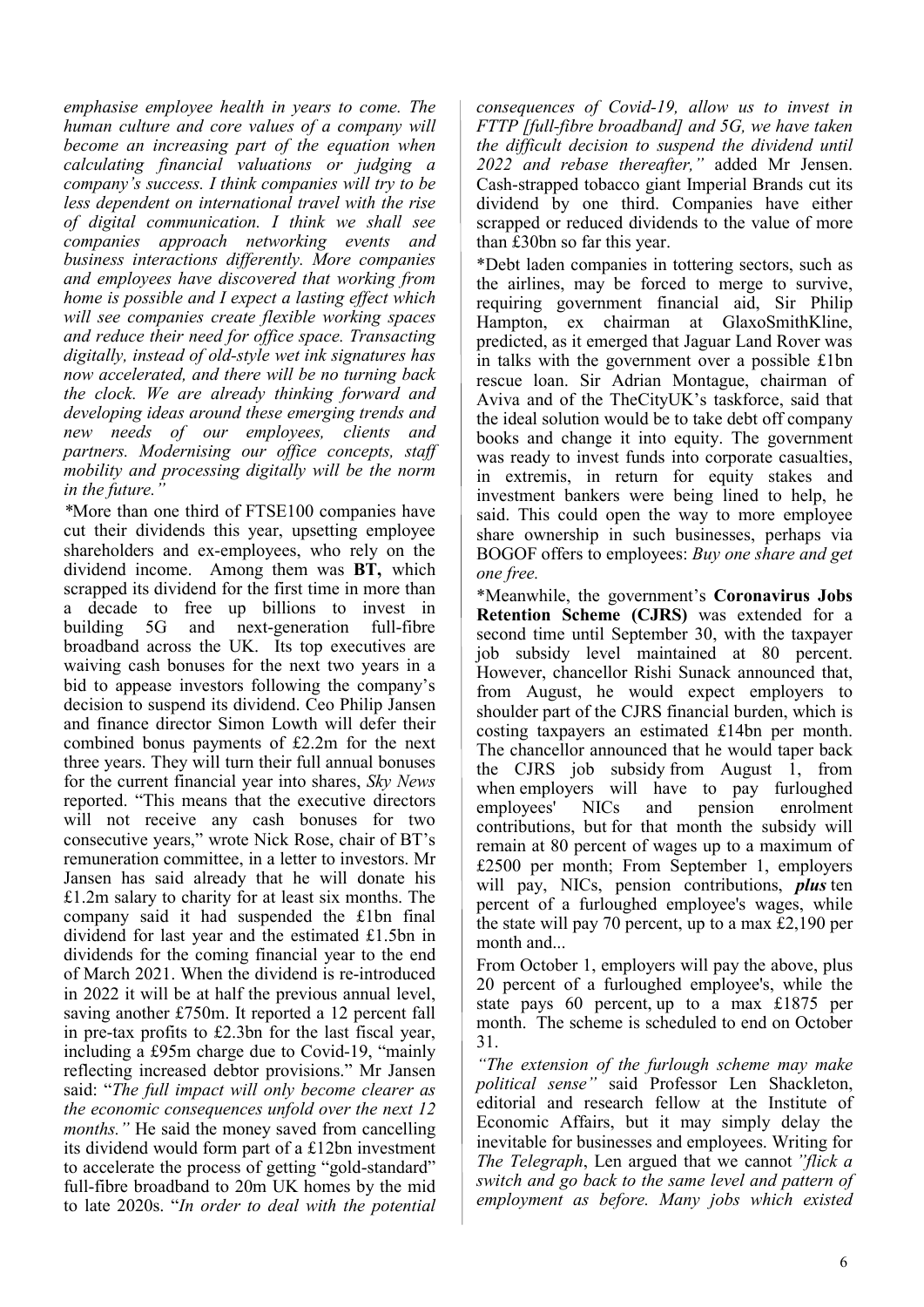*emphasise employee health in years to come. The human culture and core values of a company will become an increasing part of the equation when calculating financial valuations or judging a company's success. I think companies will try to be less dependent on international travel with the rise of digital communication. I think we shall see companies approach networking events and business interactions differently. More companies and employees have discovered that working from home is possible and I expect a lasting effect which will see companies create flexible working spaces and reduce their need for office space. Transacting digitally, instead of old-style wet ink signatures has now accelerated, and there will be no turning back the clock. We are already thinking forward and developing ideas around these emerging trends and new needs of our employees, clients and partners. Modernising our office concepts, staff mobility and processing digitally will be the norm in the future."* 

*\**More than one third of FTSE100 companies have cut their dividends this year, upsetting employee shareholders and ex-employees, who rely on the dividend income. Among them was **BT,** which scrapped its dividend for the first time in more than a decade to free up billions to invest in building 5G and next-generation full-fibre broadband across the UK. Its top executives are waiving cash bonuses for the next two years in a bid to appease investors following the company's decision to suspend its dividend. Ceo Philip Jansen and finance director Simon Lowth will defer their combined bonus payments of £2.2m for the next three years. They will turn their full annual bonuses for the current financial year into shares, *Sky News* reported. "This means that the executive directors will not receive any cash bonuses for two consecutive years," wrote Nick Rose, chair of BT's remuneration committee, in a letter to investors. Mr Jansen has said already that he will donate his £1.2m salary to charity for at least six months. The company said it had suspended the £1bn final dividend for last year and the estimated £1.5bn in dividends for the coming financial year to the end of March 2021. When the dividend is re-introduced in 2022 it will be at half the previous annual level, saving another £750m. It reported a 12 percent fall in pre-tax profits to £2.3bn for the last fiscal year, including a £95m charge due to Covid-19, "mainly reflecting increased debtor provisions." Mr Jansen said: "*The full impact will only become clearer as the economic consequences unfold over the next 12 months.*" He said the money saved from cancelling its dividend would form part of a £12bn investment to accelerate the process of getting "gold-standard" full-fibre broadband to 20m UK homes by the mid to late 2020s. "*In order to deal with the potential* 

*consequences of Covid-19, allow us to invest in FTTP [full-fibre broadband] and 5G, we have taken the difficult decision to suspend the dividend until 2022 and rebase thereafter,"* added Mr Jensen. Cash-strapped tobacco giant Imperial Brands cut its dividend by one third. Companies have either scrapped or reduced dividends to the value of more than £30bn so far this year.

\*Debt laden companies in tottering sectors, such as the airlines, may be forced to merge to survive, requiring government financial aid, Sir Philip Hampton, ex chairman at GlaxoSmithKline, predicted, as it emerged that Jaguar Land Rover was in talks with the government over a possible £1bn rescue loan. Sir Adrian Montague, chairman of Aviva and of the TheCityUK's taskforce, said that the ideal solution would be to take debt off company books and change it into equity. The government was ready to invest funds into corporate casualties, in extremis, in return for equity stakes and investment bankers were being lined to help, he said. This could open the way to more employee share ownership in such businesses, perhaps via BOGOF offers to employees: *Buy one share and get one free.*

\*Meanwhile, the government's **Coronavirus Jobs Retention Scheme (CJRS)** was extended for a second time until September 30, with the taxpayer job subsidy level maintained at 80 percent. However, chancellor Rishi Sunack announced that, from August, he would expect employers to shoulder part of the CJRS financial burden, which is costing taxpayers an estimated £14bn per month. The chancellor announced that he would taper back the CJRS job subsidy from August 1, from when employers will have to pay furloughed<br>employees' NICs and pension enrolment employees' NICs and pension enrolment contributions, but for that month the subsidy will remain at 80 percent of wages up to a maximum of £2500 per month; From September 1, employers will pay, NICs, pension contributions, *plus* ten percent of a furloughed employee's wages, while the state will pay 70 percent, up to a max  $\text{\pounds}2,190$  per month and...

From October 1, employers will pay the above, plus 20 percent of a furloughed employee's, while the state pays 60 percent, up to a max £1875 per month. The scheme is scheduled to end on October 31.

*"The extension of the furlough scheme may make political sense"* said Professor Len Shackleton, editorial and research fellow at the Institute of Economic Affairs, but it may simply delay the inevitable for businesses and employees. Writing for *The Telegraph*, Len argued that we cannot *"flick a switch and go back to the same level and pattern of employment as before. Many jobs which existed*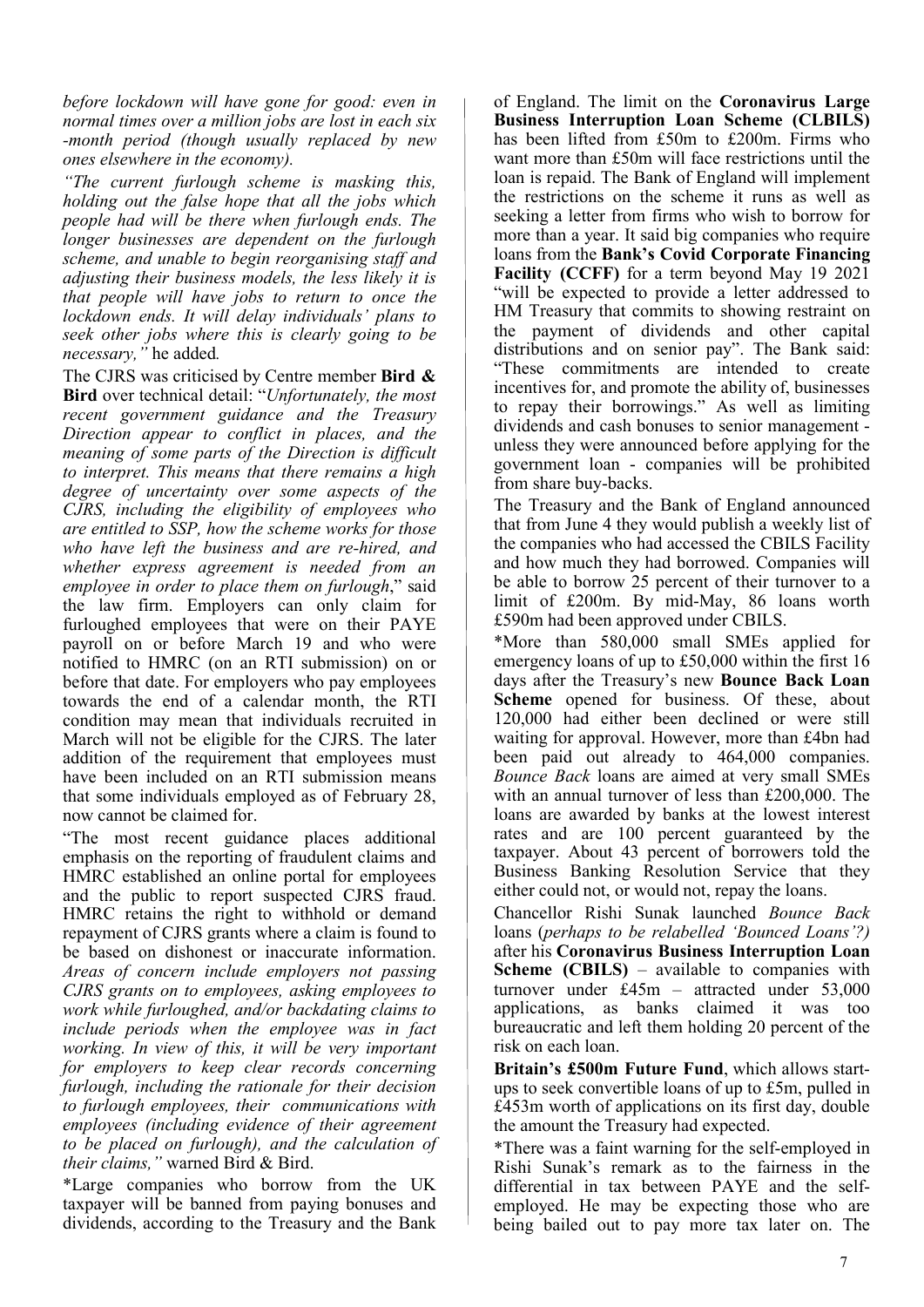*before lockdown will have gone for good: even in normal times over a million jobs are lost in each six -month period (though usually replaced by new ones elsewhere in the economy).* 

*"The current furlough scheme is masking this, holding out the false hope that all the jobs which people had will be there when furlough ends. The longer businesses are dependent on the furlough scheme, and unable to begin reorganising staff and adjusting their business models, the less likely it is that people will have jobs to return to once the lockdown ends. It will delay individuals' plans to seek other jobs where this is clearly going to be necessary,"* he added*.* 

The CJRS was criticised by Centre member **Bird & Bird** over technical detail: "*Unfortunately, the most recent government guidance and the Treasury Direction appear to conflict in places, and the meaning of some parts of the Direction is difficult to interpret. This means that there remains a high degree of uncertainty over some aspects of the CJRS, including the eligibility of employees who are entitled to SSP, how the scheme works for those who have left the business and are re-hired, and whether express agreement is needed from an employee in order to place them on furlough*," said the law firm. Employers can only claim for furloughed employees that were on their PAYE payroll on or before March 19 and who were notified to HMRC (on an RTI submission) on or before that date. For employers who pay employees towards the end of a calendar month, the RTI condition may mean that individuals recruited in March will not be eligible for the CJRS. The later addition of the requirement that employees must have been included on an RTI submission means that some individuals employed as of February 28, now cannot be claimed for.

"The most recent guidance places additional emphasis on the reporting of fraudulent claims and HMRC established an online portal for employees and the public to report suspected CJRS fraud. HMRC retains the right to withhold or demand repayment of CJRS grants where a claim is found to be based on dishonest or inaccurate information. *Areas of concern include employers not passing CJRS grants on to employees, asking employees to work while furloughed, and/or backdating claims to include periods when the employee was in fact working. In view of this, it will be very important for employers to keep clear records concerning furlough, including the rationale for their decision to furlough employees, their communications with employees (including evidence of their agreement to be placed on furlough), and the calculation of their claims,"* warned Bird & Bird.

\*Large companies who borrow from the UK taxpayer will be banned from paying bonuses and dividends, according to the Treasury and the Bank of England. The limit on the **Coronavirus Large Business Interruption Loan Scheme (CLBILS)** has been lifted from £50m to £200m. Firms who want more than £50m will face restrictions until the loan is repaid. The Bank of England will implement the restrictions on the scheme it runs as well as seeking a letter from firms who wish to borrow for more than a year. It said big companies who require loans from the **Bank's Covid Corporate Financing Facility (CCFF)** for a term beyond May 19 2021 "will be expected to provide a letter addressed to HM Treasury that commits to showing restraint on the payment of dividends and other capital distributions and on senior pay". The Bank said: "These commitments are intended to create incentives for, and promote the ability of, businesses to repay their borrowings." As well as limiting dividends and cash bonuses to senior management unless they were announced before applying for the government loan - companies will be prohibited from share buy-backs.

The Treasury and the Bank of England announced that from June 4 they would publish a weekly list of the companies who had accessed the CBILS Facility and how much they had borrowed. Companies will be able to borrow 25 percent of their turnover to a limit of £200m. By mid-May, 86 loans worth £590m had been approved under CBILS.

\*More than 580,000 small SMEs applied for emergency loans of up to £50,000 within the first 16 days after the Treasury's new **Bounce Back Loan Scheme** opened for business. Of these, about 120,000 had either been declined or were still waiting for approval. However, more than £4bn had been paid out already to 464,000 companies. *Bounce Back* loans are aimed at very small SMEs with an annual turnover of less than £200,000. The loans are awarded by banks at the lowest interest rates and are 100 percent guaranteed by the taxpayer. About 43 percent of borrowers told the Business Banking Resolution Service that they either could not, or would not, repay the loans.

Chancellor Rishi Sunak launched *Bounce Back* loans (*perhaps to be relabelled 'Bounced Loans'?)*  after his **Coronavirus Business Interruption Loan Scheme (CBILS)** – available to companies with turnover under £45m – attracted under 53,000 applications, as banks claimed it was too bureaucratic and left them holding 20 percent of the risk on each loan.

**Britain's £500m Future Fund**, which allows startups to seek convertible loans of up to £5m, pulled in £453m worth of applications on its first day, double the amount the Treasury had expected.

\*There was a faint warning for the self-employed in Rishi Sunak's remark as to the fairness in the differential in tax between PAYE and the selfemployed. He may be expecting those who are being bailed out to pay more tax later on. The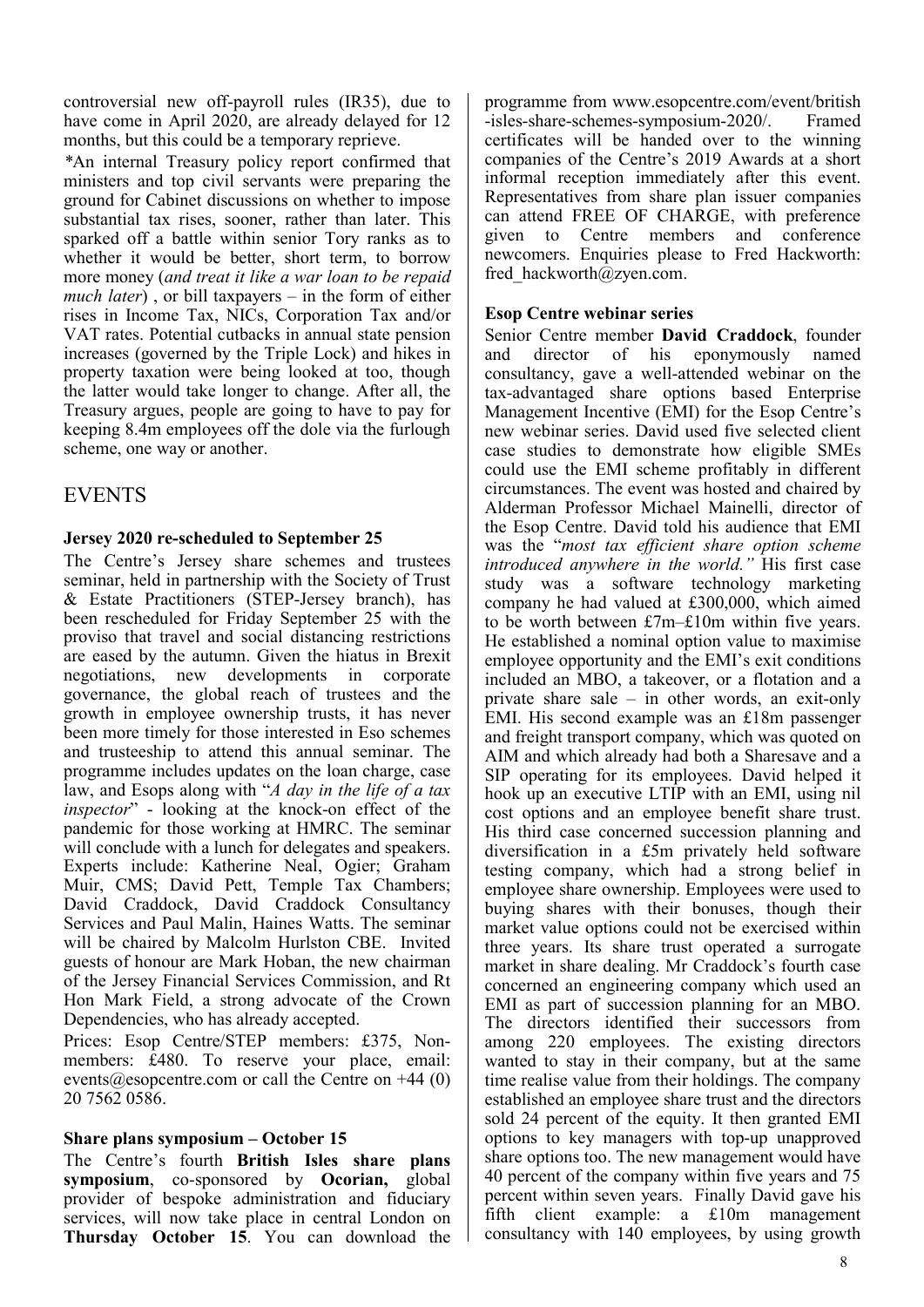controversial new off-payroll rules (IR35), due to have come in April 2020, are already delayed for 12 months, but this could be a temporary reprieve.

*\**An internal Treasury policy report confirmed that ministers and top civil servants were preparing the ground for Cabinet discussions on whether to impose substantial tax rises, sooner, rather than later. This sparked off a battle within senior Tory ranks as to whether it would be better, short term, to borrow more money (*and treat it like a war loan to be repaid much later*) , or bill taxpayers – in the form of either rises in Income Tax, NICs, Corporation Tax and/or VAT rates. Potential cutbacks in annual state pension increases (governed by the Triple Lock) and hikes in property taxation were being looked at too, though the latter would take longer to change. After all, the Treasury argues, people are going to have to pay for keeping 8.4m employees off the dole via the furlough scheme, one way or another.

#### EVENTS

#### **Jersey 2020 re-scheduled to September 25**

The Centre's Jersey share schemes and trustees seminar, held in partnership with the Society of Trust & Estate Practitioners (STEP-Jersey branch), has been rescheduled for Friday September 25 with the proviso that travel and social distancing restrictions are eased by the autumn. Given the hiatus in Brexit negotiations, new developments in corporate governance, the global reach of trustees and the growth in employee ownership trusts, it has never been more timely for those interested in Eso schemes and trusteeship to attend this annual seminar. The programme includes updates on the loan charge, case law, and Esops along with "*A day in the life of a tax inspector*" - looking at the knock-on effect of the pandemic for those working at HMRC. The seminar will conclude with a lunch for delegates and speakers. Experts include: Katherine Neal, Ogier; Graham Muir, CMS; David Pett, Temple Tax Chambers; David Craddock, David Craddock Consultancy Services and Paul Malin, Haines Watts. The seminar will be chaired by Malcolm Hurlston CBE. Invited guests of honour are Mark Hoban, the new chairman of the Jersey Financial Services Commission, and Rt Hon Mark Field, a strong advocate of the Crown Dependencies, who has already accepted.

Prices: Esop Centre/STEP members: £375, Nonmembers:  $\hat{\text{t}}480$ . To reserve your place, email: events@esopcentre.com or call the Centre on  $+44$  (0) 20 7562 0586.

#### **Share plans symposium – October 15**

The Centre's fourth **British Isles share plans symposium**, co-sponsored by **Ocorian,** global provider of bespoke administration and fiduciary services, will now take place in central London on **Thursday October 15**. You can download the programme from www.esopcentre.com/event/british -isles-share-schemes-symposium-2020/. Framed certificates will be handed over to the winning companies of the Centre's 2019 Awards at a short informal reception immediately after this event. Representatives from share plan issuer companies can attend FREE OF CHARGE, with preference given to Centre members and conference newcomers. Enquiries please to Fred Hackworth: fred\_hackworth@zyen.com.

#### **Esop Centre webinar series**

Senior Centre member **David Craddock**, founder<br>and director of his eponymously named and director of his eponymously named consultancy, gave a well-attended webinar on the tax-advantaged share options based Enterprise Management Incentive (EMI) for the Esop Centre's new webinar series. David used five selected client case studies to demonstrate how eligible SMEs could use the EMI scheme profitably in different circumstances. The event was hosted and chaired by Alderman Professor Michael Mainelli, director of the Esop Centre. David told his audience that EMI was the "*most tax efficient share option scheme introduced anywhere in the world."* His first case study was a software technology marketing company he had valued at £300,000, which aimed to be worth between £7m–£10m within five years. He established a nominal option value to maximise employee opportunity and the EMI's exit conditions included an MBO, a takeover, or a flotation and a private share sale – in other words, an exit-only EMI. His second example was an £18m passenger and freight transport company, which was quoted on AIM and which already had both a Sharesave and a SIP operating for its employees. David helped it hook up an executive LTIP with an EMI, using nil cost options and an employee benefit share trust. His third case concerned succession planning and diversification in a £5m privately held software testing company, which had a strong belief in employee share ownership. Employees were used to buying shares with their bonuses, though their market value options could not be exercised within three years. Its share trust operated a surrogate market in share dealing. Mr Craddock's fourth case concerned an engineering company which used an EMI as part of succession planning for an MBO. The directors identified their successors from among 220 employees. The existing directors wanted to stay in their company, but at the same time realise value from their holdings. The company established an employee share trust and the directors sold 24 percent of the equity. It then granted EMI options to key managers with top-up unapproved share options too. The new management would have 40 percent of the company within five years and 75 percent within seven years. Finally David gave his fifth client example: a £10m management consultancy with 140 employees, by using growth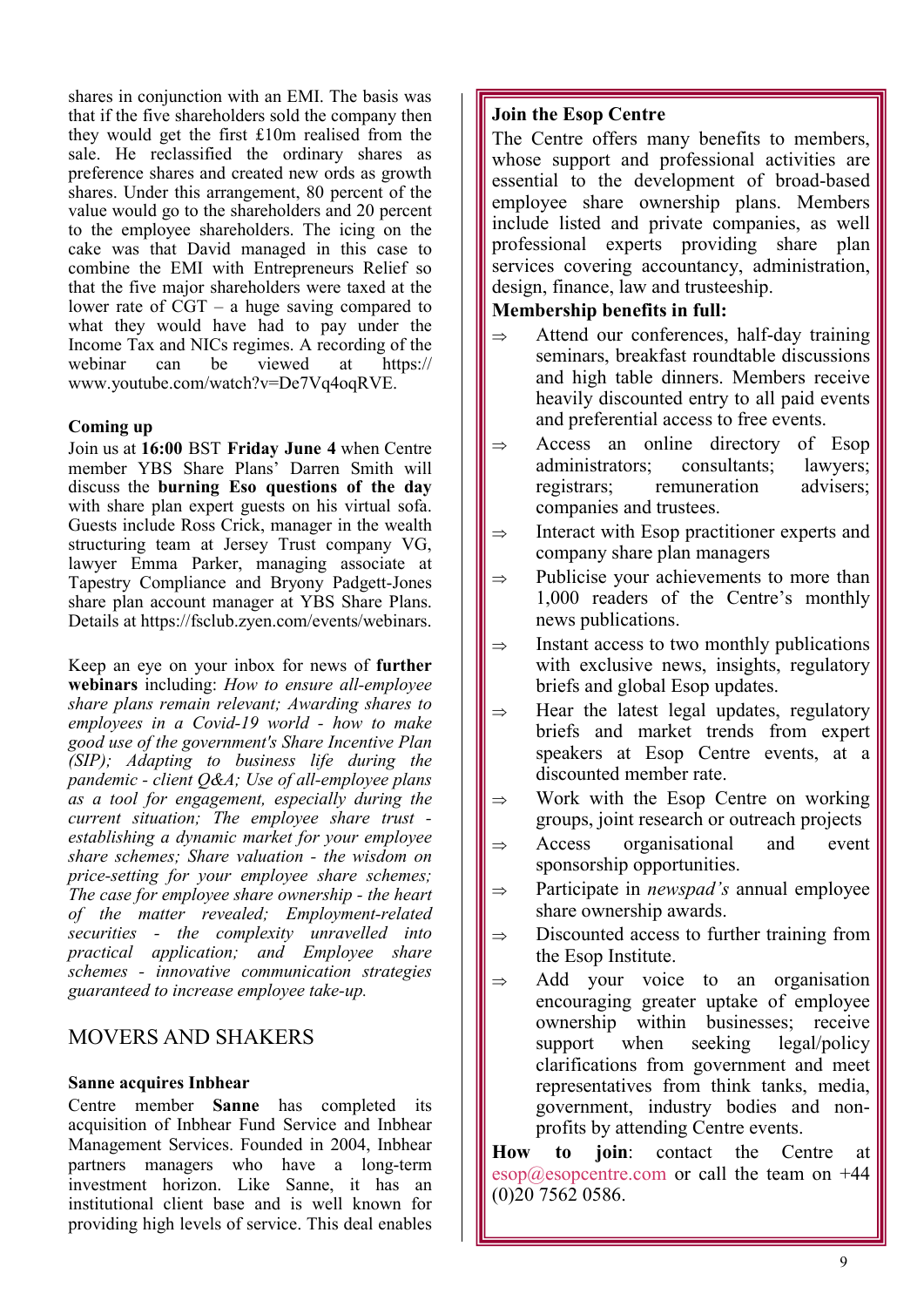shares in conjunction with an EMI. The basis was that if the five shareholders sold the company then they would get the first £10m realised from the sale. He reclassified the ordinary shares as preference shares and created new ords as growth shares. Under this arrangement, 80 percent of the value would go to the shareholders and 20 percent to the employee shareholders. The icing on the cake was that David managed in this case to combine the EMI with Entrepreneurs Relief so that the five major shareholders were taxed at the lower rate of CGT – a huge saving compared to what they would have had to pay under the Income Tax and NICs regimes. A recording of the webinar can be viewed at https:// www.youtube.com/watch?v=De7Vq4oqRVE.

#### **Coming up**

Join us at **16:00** BST **Friday June 4** when Centre member YBS Share Plans' Darren Smith will discuss the **burning Eso questions of the day**  with share plan expert guests on his virtual sofa. Guests include Ross Crick, manager in the wealth structuring team at Jersey Trust company VG, lawyer Emma Parker, managing associate at Tapestry Compliance and Bryony Padgett-Jones share plan account manager at YBS Share Plans. Details at https://fsclub.zyen.com/events/webinars.

Keep an eye on your inbox for news of **further webinars** including: *How to ensure all-employee share plans remain relevant; Awarding shares to employees in a Covid-19 world - how to make good use of the government's Share Incentive Plan (SIP); Adapting to business life during the pandemic - client Q&A; Use of all-employee plans as a tool for engagement, especially during the current situation; The employee share trust establishing a dynamic market for your employee share schemes; Share valuation - the wisdom on price-setting for your employee share schemes; The case for employee share ownership - the heart of the matter revealed; Employment-related securities - the complexity unravelled into practical application; and Employee share schemes - innovative communication strategies guaranteed to increase employee take-up.* 

#### MOVERS AND SHAKERS

#### **Sanne acquires Inbhear**

Centre member **Sanne** has completed its acquisition of Inbhear Fund Service and Inbhear Management Services. Founded in 2004, Inbhear partners managers who have a long-term investment horizon. Like Sanne, it has an institutional client base and is well known for providing high levels of service. This deal enables

#### **Join the Esop Centre**

The Centre offers many benefits to members, whose support and professional activities are essential to the development of broad-based employee share ownership plans. Members include listed and private companies, as well professional experts providing share plan services covering accountancy, administration, design, finance, law and trusteeship.

#### **Membership benefits in full:**

- $\Rightarrow$  Attend our conferences, half-day training seminars, breakfast roundtable discussions and high table dinners. Members receive heavily discounted entry to all paid events and preferential access to free events.
- $\Rightarrow$  Access an online directory of Esop administrators; consultants; lawyers; registrars; remuneration advisers; companies and trustees.
- $\Rightarrow$  Interact with Esop practitioner experts and company share plan managers
- $\Rightarrow$  Publicise your achievements to more than 1,000 readers of the Centre's monthly news publications.
- $\Rightarrow$  Instant access to two monthly publications with exclusive news, insights, regulatory briefs and global Esop updates.
- Hear the latest legal updates, regulatory briefs and market trends from expert speakers at Esop Centre events, at a discounted member rate.
- Work with the Esop Centre on working groups, joint research or outreach projects
- $\Rightarrow$  Access organisational and event sponsorship opportunities.
- $\Rightarrow$  Participate in *newspad's* annual employee share ownership awards.
- $\Rightarrow$  Discounted access to further training from the Esop Institute.
- $\Rightarrow$  Add your voice to an organisation encouraging greater uptake of employee ownership within businesses; receive support when seeking legal/policy clarifications from government and meet representatives from think tanks, media, government, industry bodies and nonprofits by attending Centre events.

**How to join**: contact the Centre at  $\exp(a)$ esopcentre.com or call the team on +44 (0)20 7562 0586.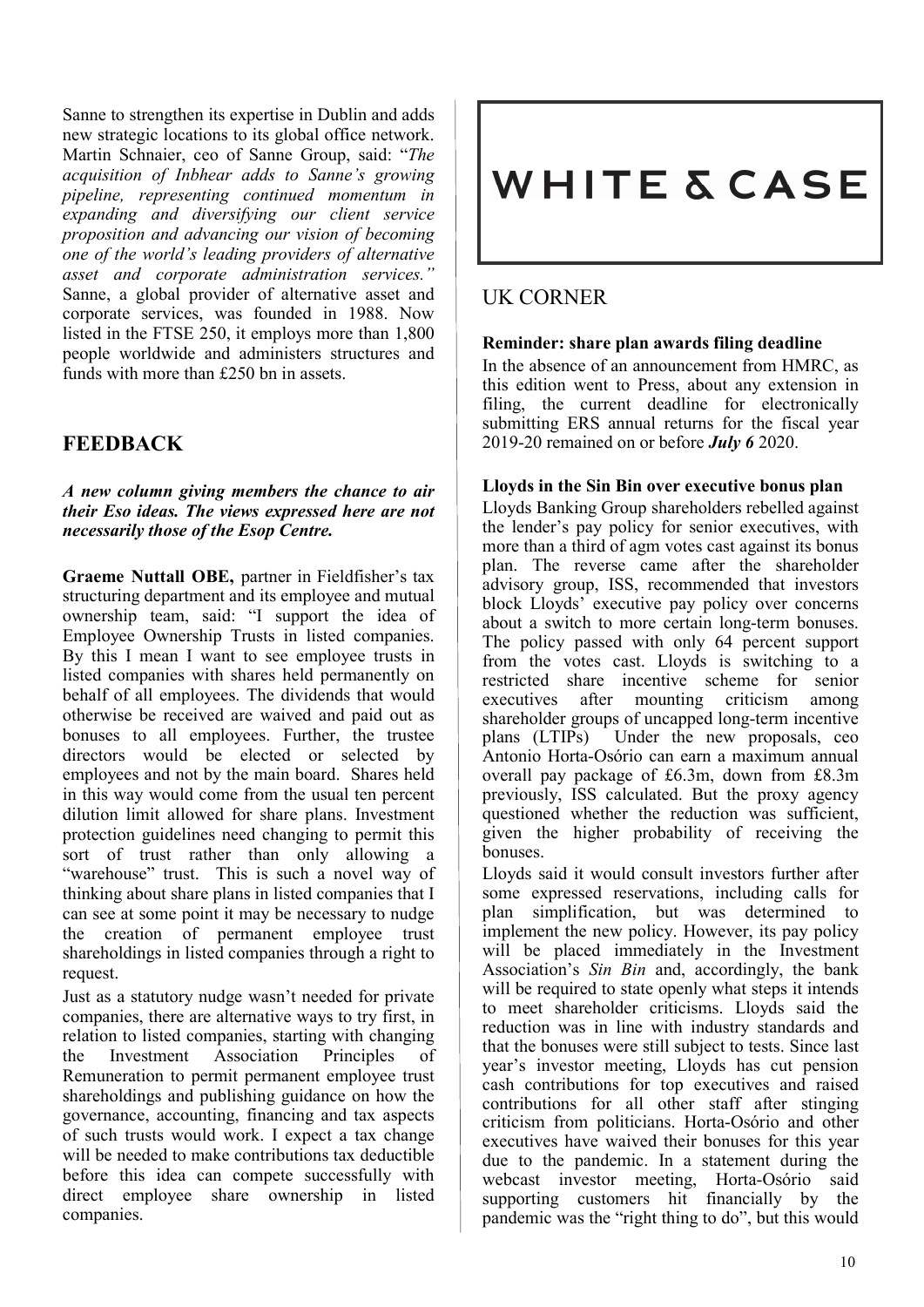Sanne to strengthen its expertise in Dublin and adds new strategic locations to its global office network. Martin Schnaier, ceo of Sanne Group, said: "*The acquisition of Inbhear adds to Sanne's growing pipeline, representing continued momentum in expanding and diversifying our client service proposition and advancing our vision of becoming one of the world's leading providers of alternative asset and corporate administration services."* Sanne, a global provider of alternative asset and corporate services, was founded in 1988. Now listed in the FTSE 250, it employs more than 1,800 people worldwide and administers structures and funds with more than £250 bn in assets.

#### **FEEDBACK**

*A new column giving members the chance to air their Eso ideas. The views expressed here are not necessarily those of the Esop Centre.* 

**Graeme Nuttall OBE,** partner in Fieldfisher's tax structuring department and its employee and mutual ownership team, said: "I support the idea of Employee Ownership Trusts in listed companies. By this I mean I want to see employee trusts in listed companies with shares held permanently on behalf of all employees. The dividends that would otherwise be received are waived and paid out as bonuses to all employees. Further, the trustee directors would be elected or selected by employees and not by the main board. Shares held in this way would come from the usual ten percent dilution limit allowed for share plans. Investment protection guidelines need changing to permit this sort of trust rather than only allowing a "warehouse" trust. This is such a novel way of thinking about share plans in listed companies that I can see at some point it may be necessary to nudge the creation of permanent employee trust shareholdings in listed companies through a right to request.

Just as a statutory nudge wasn't needed for private companies, there are alternative ways to try first, in relation to listed companies, starting with changing the Investment Association Principles of Remuneration to permit permanent employee trust shareholdings and publishing guidance on how the governance, accounting, financing and tax aspects of such trusts would work. I expect a tax change will be needed to make contributions tax deductible before this idea can compete successfully with direct employee share ownership in listed companies.

## **WHITE & CASE**

#### UK CORNER

#### **Reminder: share plan awards filing deadline**

In the absence of an announcement from HMRC, as this edition went to Press, about any extension in filing, the current deadline for electronically submitting ERS annual returns for the fiscal year 2019-20 remained on or before *July 6* 2020.

#### **Lloyds in the Sin Bin over executive bonus plan**

Lloyds Banking Group shareholders rebelled against the lender's pay policy for senior executives, with more than a third of agm votes cast against its bonus plan. The reverse came after the shareholder advisory group, ISS, recommended that investors block Lloyds' executive pay policy over concerns about a switch to more certain long-term bonuses. The policy passed with only 64 percent support from the votes cast. Lloyds is switching to a restricted share incentive scheme for senior executives after mounting criticism among executives after mounting criticism shareholder groups of uncapped long-term incentive plans (LTIPs) Under the new proposals, ceo Antonio Horta-Osório can earn a maximum annual overall pay package of £6.3m, down from £8.3m previously, ISS calculated. But the proxy agency questioned whether the reduction was sufficient, given the higher probability of receiving the bonuses.

Lloyds said it would consult investors further after some expressed reservations, including calls for plan simplification, but was determined to implement the new policy. However, its pay policy will be placed immediately in the Investment Association's *Sin Bin* and, accordingly, the bank will be required to state openly what steps it intends to meet shareholder criticisms. Lloyds said the reduction was in line with industry standards and that the bonuses were still subject to tests. Since last year's investor meeting, Lloyds has cut pension cash contributions for top executives and raised contributions for all other staff after stinging criticism from politicians. Horta-Osório and other executives have waived their bonuses for this year due to the pandemic. In a statement during the webcast investor meeting, Horta-Osório said supporting customers hit financially by the pandemic was the "right thing to do", but this would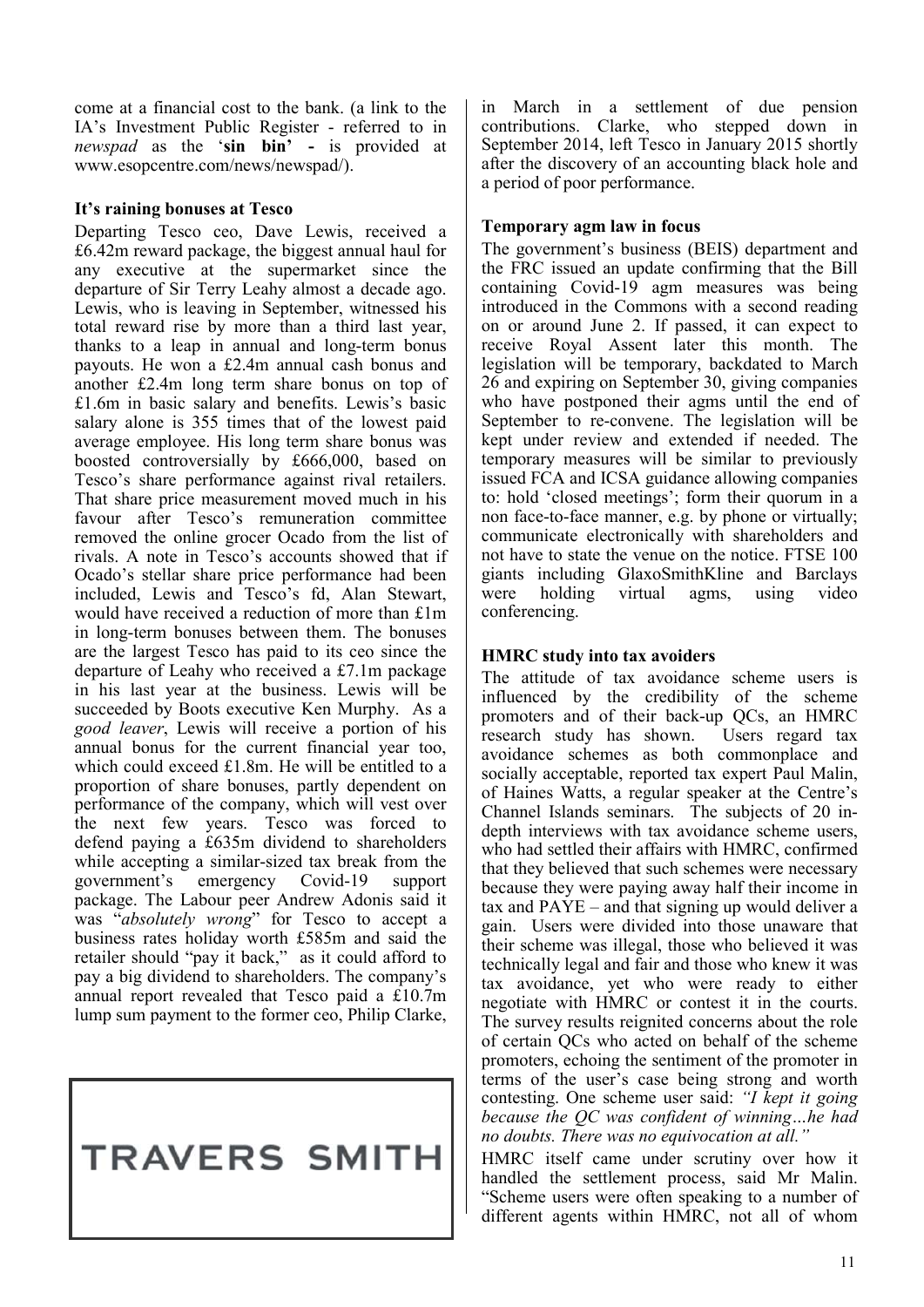come at a financial cost to the bank. (a link to the IA's Investment Public Register - referred to in *newspad* as the '**sin bin' -** is provided at www.esopcentre.com/news/newspad/).

#### **It's raining bonuses at Tesco**

Departing Tesco ceo, Dave Lewis, received a £6.42m reward package, the biggest annual haul for any executive at the supermarket since the departure of Sir Terry Leahy almost a decade ago. Lewis, who is leaving in September, witnessed his total reward rise by more than a third last year, thanks to a leap in annual and long-term bonus payouts. He won a £2.4m annual cash bonus and another £2.4m long term share bonus on top of £1.6m in basic salary and benefits. Lewis's basic salary alone is 355 times that of the lowest paid average employee. His long term share bonus was boosted controversially by £666,000, based on Tesco's share performance against rival retailers. That share price measurement moved much in his favour after Tesco's remuneration committee removed the online grocer Ocado from the list of rivals. A note in Tesco's accounts showed that if Ocado's stellar share price performance had been included, Lewis and Tesco's fd, Alan Stewart, would have received a reduction of more than £1m in long-term bonuses between them. The bonuses are the largest Tesco has paid to its ceo since the departure of Leahy who received a £7.1m package in his last year at the business. Lewis will be succeeded by Boots executive Ken Murphy. As a *good leaver*, Lewis will receive a portion of his annual bonus for the current financial year too, which could exceed £1.8m. He will be entitled to a proportion of share bonuses, partly dependent on performance of the company, which will vest over the next few years. Tesco was forced to defend paying a £635m dividend to shareholders while accepting a similar-sized tax break from the government's emergency Covid-19 support package. The Labour peer Andrew Adonis said it was "*absolutely wrong*" for Tesco to accept a business rates holiday worth £585m and said the retailer should "pay it back," as it could afford to pay a big dividend to shareholders. The company's annual report revealed that Tesco paid a £10.7m lump sum payment to the former ceo, Philip Clarke,

## **TRAVERS SMITH**

in March in a settlement of due pension contributions. Clarke, who stepped down in September 2014, left Tesco in January 2015 shortly after the discovery of an accounting black hole and a period of poor performance.

#### **Temporary agm law in focus**

The government's business (BEIS) department and the FRC issued an update confirming that the Bill containing Covid-19 agm measures was being introduced in the Commons with a second reading on or around June 2. If passed, it can expect to receive Royal Assent later this month. The legislation will be temporary, backdated to March 26 and expiring on September 30, giving companies who have postponed their agms until the end of September to re-convene. The legislation will be kept under review and extended if needed. The temporary measures will be similar to previously issued FCA and ICSA guidance allowing companies to: hold 'closed meetings'; form their quorum in a non face-to-face manner, e.g. by phone or virtually; communicate electronically with shareholders and not have to state the venue on the notice. FTSE 100 giants including GlaxoSmithKline and Barclays were holding virtual agms, using video conferencing.

#### **HMRC study into tax avoiders**

The attitude of tax avoidance scheme users is influenced by the credibility of the scheme promoters and of their back-up QCs, an HMRC research study has shown. Users regard tax avoidance schemes as both commonplace and socially acceptable, reported tax expert Paul Malin, of Haines Watts, a regular speaker at the Centre's Channel Islands seminars. The subjects of 20 indepth interviews with tax avoidance scheme users, who had settled their affairs with HMRC, confirmed that they believed that such schemes were necessary because they were paying away half their income in tax and PAYE – and that signing up would deliver a gain. Users were divided into those unaware that their scheme was illegal, those who believed it was technically legal and fair and those who knew it was tax avoidance, yet who were ready to either negotiate with HMRC or contest it in the courts. The survey results reignited concerns about the role of certain QCs who acted on behalf of the scheme promoters, echoing the sentiment of the promoter in terms of the user's case being strong and worth contesting. One scheme user said: *"I kept it going because the QC was confident of winning…he had no doubts. There was no equivocation at all."* 

HMRC itself came under scrutiny over how it handled the settlement process, said Mr Malin. "Scheme users were often speaking to a number of different agents within HMRC, not all of whom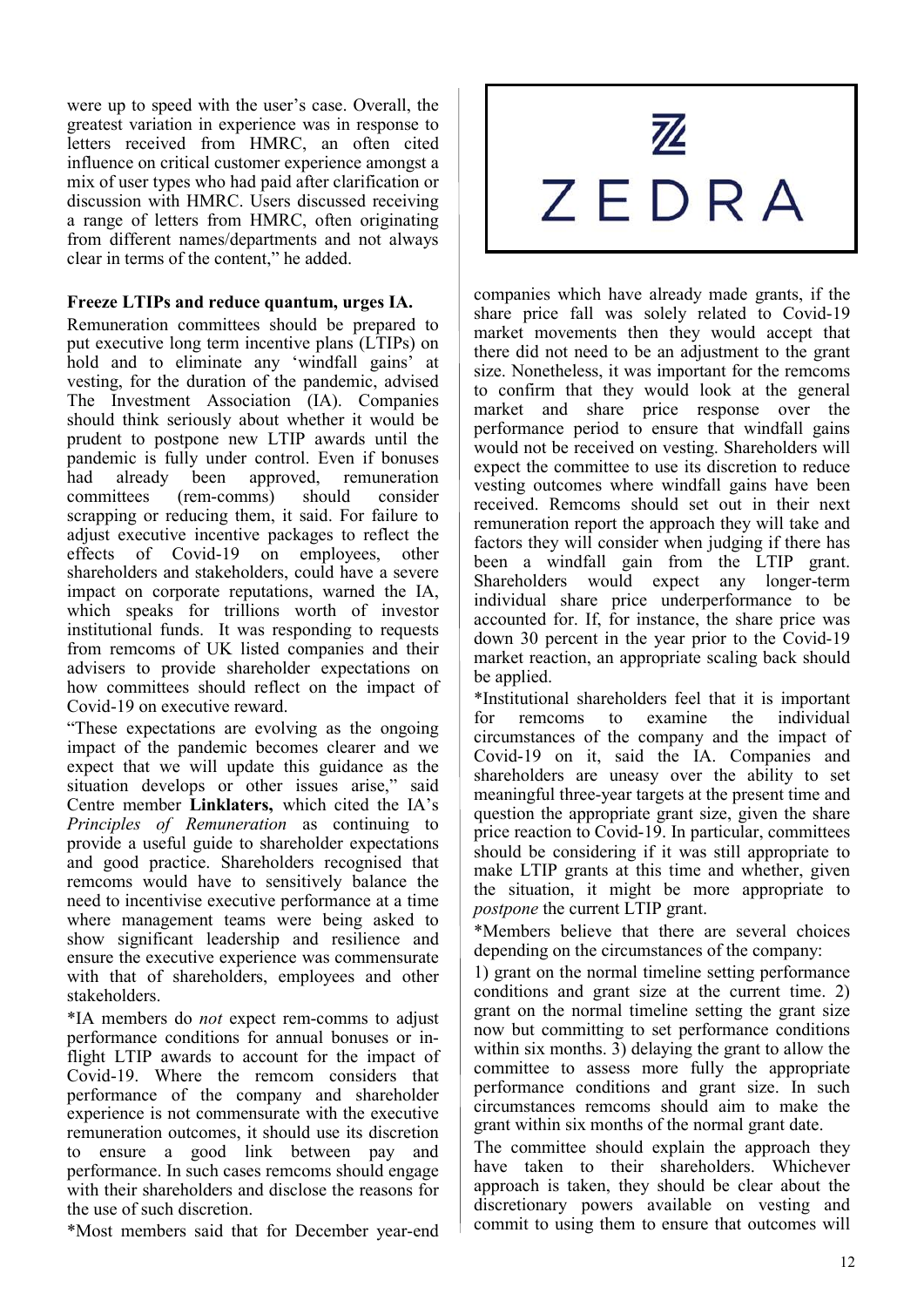were up to speed with the user's case. Overall, the greatest variation in experience was in response to letters received from HMRC, an often cited influence on critical customer experience amongst a mix of user types who had paid after clarification or discussion with HMRC. Users discussed receiving a range of letters from HMRC, often originating from different names/departments and not always clear in terms of the content," he added.

#### **Freeze LTIPs and reduce quantum, urges IA.**

Remuneration committees should be prepared to put executive long term incentive plans (LTIPs) on hold and to eliminate any 'windfall gains' at vesting, for the duration of the pandemic, advised The Investment Association (IA). Companies should think seriously about whether it would be prudent to postpone new LTIP awards until the pandemic is fully under control. Even if bonuses had already been approved, remuneration committees (rem-comms) should consider scrapping or reducing them, it said. For failure to adjust executive incentive packages to reflect the effects of Covid-19 on employees, other shareholders and stakeholders, could have a severe impact on corporate reputations, warned the IA, which speaks for trillions worth of investor institutional funds. It was responding to requests from remcoms of UK listed companies and their advisers to provide shareholder expectations on how committees should reflect on the impact of Covid-19 on executive reward.

"These expectations are evolving as the ongoing impact of the pandemic becomes clearer and we expect that we will update this guidance as the situation develops or other issues arise," said Centre member **Linklaters,** which cited the IA's *Principles of Remuneration* as continuing to provide a useful guide to shareholder expectations and good practice. Shareholders recognised that remcoms would have to sensitively balance the need to incentivise executive performance at a time where management teams were being asked to show significant leadership and resilience and ensure the executive experience was commensurate with that of shareholders, employees and other stakeholders.

\*IA members do *not* expect rem-comms to adjust performance conditions for annual bonuses or inflight LTIP awards to account for the impact of Covid-19. Where the remcom considers that performance of the company and shareholder experience is not commensurate with the executive remuneration outcomes, it should use its discretion to ensure a good link between pay and performance. In such cases remcoms should engage with their shareholders and disclose the reasons for the use of such discretion.

\*Most members said that for December year-end

# 巫 ZEDRA

companies which have already made grants, if the share price fall was solely related to Covid-19 market movements then they would accept that there did not need to be an adjustment to the grant size. Nonetheless, it was important for the remcoms to confirm that they would look at the general market and share price response over the performance period to ensure that windfall gains would not be received on vesting. Shareholders will expect the committee to use its discretion to reduce vesting outcomes where windfall gains have been received. Remcoms should set out in their next remuneration report the approach they will take and factors they will consider when judging if there has been a windfall gain from the LTIP grant. Shareholders would expect any longer-term individual share price underperformance to be accounted for. If, for instance, the share price was down 30 percent in the year prior to the Covid-19 market reaction, an appropriate scaling back should be applied.

\*Institutional shareholders feel that it is important for remcoms to examine the individual circumstances of the company and the impact of Covid-19 on it, said the IA. Companies and shareholders are uneasy over the ability to set meaningful three-year targets at the present time and question the appropriate grant size, given the share price reaction to Covid-19. In particular, committees should be considering if it was still appropriate to make LTIP grants at this time and whether, given the situation, it might be more appropriate to *postpone* the current LTIP grant.

\*Members believe that there are several choices depending on the circumstances of the company:

1) grant on the normal timeline setting performance conditions and grant size at the current time. 2) grant on the normal timeline setting the grant size now but committing to set performance conditions within six months. 3) delaying the grant to allow the committee to assess more fully the appropriate performance conditions and grant size. In such circumstances remcoms should aim to make the grant within six months of the normal grant date.

The committee should explain the approach they have taken to their shareholders. Whichever approach is taken, they should be clear about the discretionary powers available on vesting and commit to using them to ensure that outcomes will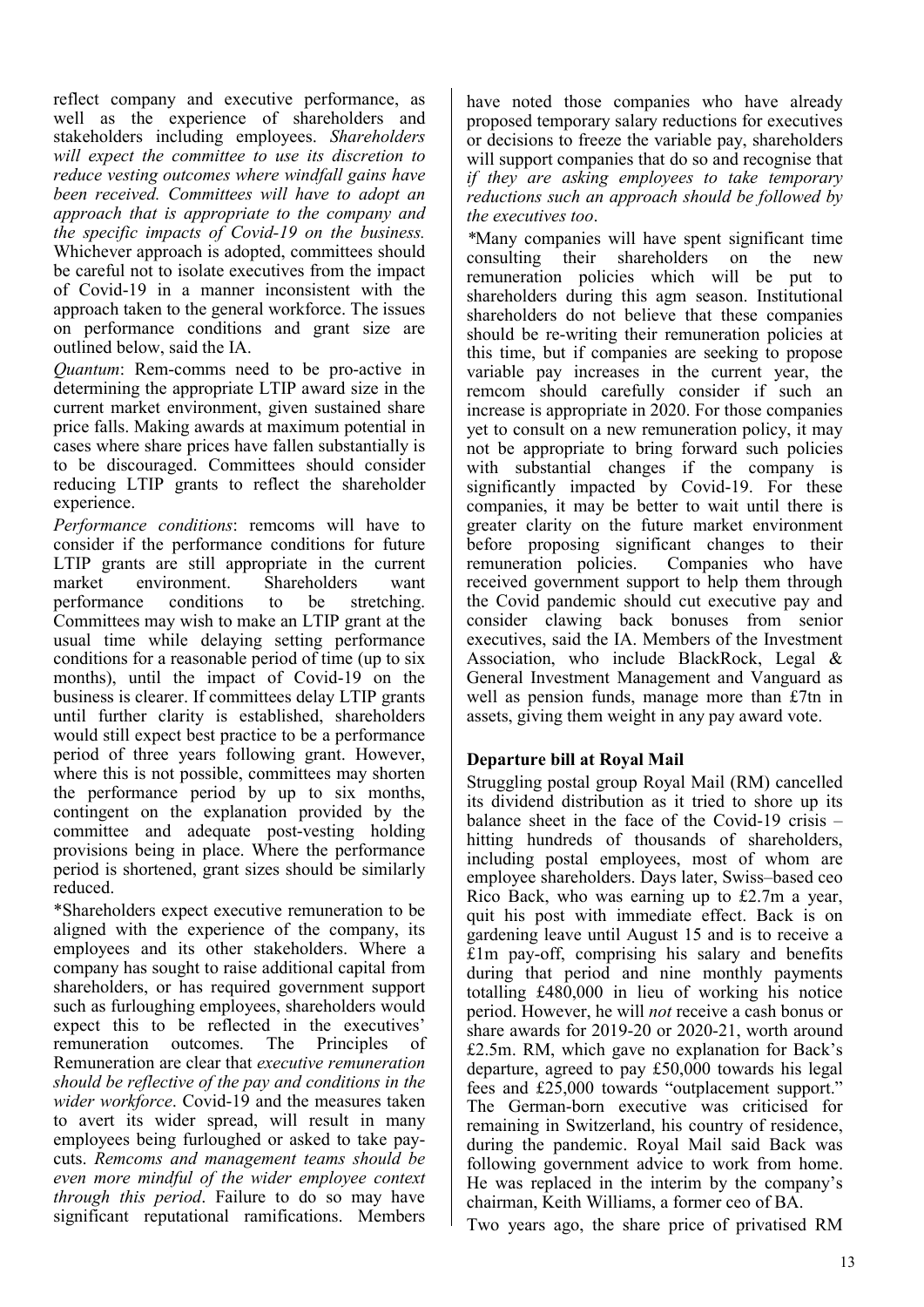reflect company and executive performance, as well as the experience of shareholders and stakeholders including employees. *Shareholders will expect the committee to use its discretion to reduce vesting outcomes where windfall gains have been received. Committees will have to adopt an approach that is appropriate to the company and the specific impacts of Covid-19 on the business.* Whichever approach is adopted, committees should be careful not to isolate executives from the impact of Covid-19 in a manner inconsistent with the approach taken to the general workforce. The issues on performance conditions and grant size are outlined below, said the IA.

*Quantum*: Rem-comms need to be pro-active in determining the appropriate LTIP award size in the current market environment, given sustained share price falls. Making awards at maximum potential in cases where share prices have fallen substantially is to be discouraged. Committees should consider reducing LTIP grants to reflect the shareholder experience.

*Performance conditions*: remcoms will have to consider if the performance conditions for future LTIP grants are still appropriate in the current market environment. Shareholders want<br>performance conditions to be stretching. performance conditions to be stretching. Committees may wish to make an LTIP grant at the usual time while delaying setting performance conditions for a reasonable period of time (up to six months), until the impact of Covid-19 on the business is clearer. If committees delay LTIP grants until further clarity is established, shareholders would still expect best practice to be a performance period of three years following grant. However, where this is not possible, committees may shorten the performance period by up to six months, contingent on the explanation provided by the committee and adequate post-vesting holding provisions being in place. Where the performance period is shortened, grant sizes should be similarly reduced.

\*Shareholders expect executive remuneration to be aligned with the experience of the company, its employees and its other stakeholders. Where a company has sought to raise additional capital from shareholders, or has required government support such as furloughing employees, shareholders would expect this to be reflected in the executives' remuneration outcomes. The Principles of Remuneration are clear that *executive remuneration should be reflective of the pay and conditions in the wider workforce*. Covid-19 and the measures taken to avert its wider spread, will result in many employees being furloughed or asked to take paycuts. *Remcoms and management teams should be even more mindful of the wider employee context through this period*. Failure to do so may have significant reputational ramifications. Members

have noted those companies who have already proposed temporary salary reductions for executives or decisions to freeze the variable pay, shareholders will support companies that do so and recognise that *if they are asking employees to take temporary reductions such an approach should be followed by the executives too*.

*\**Many companies will have spent significant time consulting their shareholders on the new remuneration policies which will be put to shareholders during this agm season. Institutional shareholders do not believe that these companies should be re-writing their remuneration policies at this time, but if companies are seeking to propose variable pay increases in the current year, the remcom should carefully consider if such an increase is appropriate in 2020. For those companies yet to consult on a new remuneration policy, it may not be appropriate to bring forward such policies with substantial changes if the company is significantly impacted by Covid-19. For these companies, it may be better to wait until there is greater clarity on the future market environment before proposing significant changes to their remuneration policies. Companies who have received government support to help them through the Covid pandemic should cut executive pay and consider clawing back bonuses from senior executives, said the IA. Members of the Investment Association, who include BlackRock, Legal & General Investment Management and Vanguard as well as pension funds, manage more than £7tn in assets, giving them weight in any pay award vote.

#### **Departure bill at Royal Mail**

Struggling postal group Royal Mail (RM) cancelled its dividend distribution as it tried to shore up its balance sheet in the face of the Covid-19 crisis – hitting hundreds of thousands of shareholders, including postal employees, most of whom are employee shareholders. Days later, Swiss–based ceo Rico Back, who was earning up to £2.7m a year, quit his post with immediate effect. Back is on gardening leave until August 15 and is to receive a £1m pay-off, comprising his salary and benefits during that period and nine monthly payments totalling £480,000 in lieu of working his notice period. However, he will *not* receive a cash bonus or share awards for 2019-20 or 2020-21, worth around £2.5m. RM, which gave no explanation for Back's departure, agreed to pay £50,000 towards his legal fees and £25,000 towards "outplacement support." The German-born executive was criticised for remaining in Switzerland, his country of residence, during the pandemic. Royal Mail said Back was following government advice to work from home. He was replaced in the interim by the company's chairman, Keith Williams, a former ceo of BA.

Two years ago, the share price of privatised RM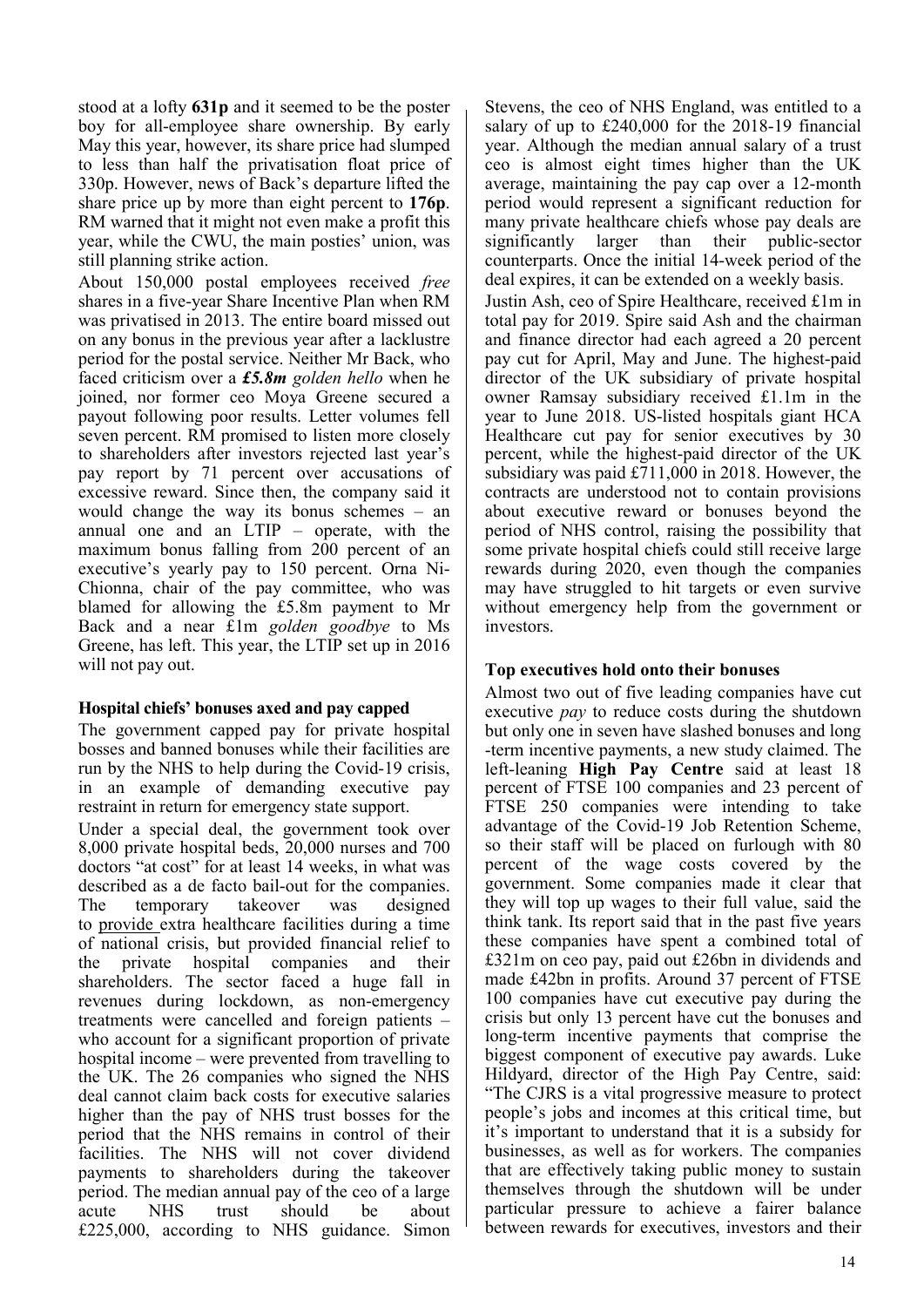stood at a lofty **631p** and it seemed to be the poster boy for all-employee share ownership. By early May this year, however, its share price had slumped to less than half the privatisation float price of 330p. However, news of Back's departure lifted the share price up by more than eight percent to **176p**. RM warned that it might not even make a profit this year, while the CWU, the main posties' union, was still planning strike action.

About 150,000 postal employees received *free* shares in a five-year Share Incentive Plan when RM was privatised in 2013. The entire board missed out on any bonus in the previous year after a lacklustre period for the postal service. Neither Mr Back, who faced criticism over a *£5.8m golden hello* when he joined, nor former ceo Moya Greene secured a payout following poor results. Letter volumes fell seven percent. RM promised to listen more closely to shareholders after investors rejected last year's pay report by 71 percent over accusations of excessive reward. Since then, the company said it would change the way its bonus schemes – an annual one and an LTIP – operate, with the maximum bonus falling from  $200$  percent of an executive's yearly pay to 150 percent. Orna Ni-Chionna, chair of the pay committee, who was blamed for allowing the £5.8m payment to Mr Back and a near £1m *golden goodbye* to Ms Greene, has left. This year, the LTIP set up in 2016 will not pay out.

#### **Hospital chiefs' bonuses axed and pay capped**

The government capped pay for private hospital bosses and banned bonuses while their facilities are run by the NHS to help during the Covid-19 crisis, in an example of demanding executive pay restraint in return for emergency state support.

Under a special deal, the government took over 8,000 private hospital beds, 20,000 nurses and 700 doctors "at cost" for at least 14 weeks, in what was described as a de facto bail-out for the companies. The temporary takeover was designed to provide extra healthcare facilities during a time of national crisis, but provided financial relief to the private hospital companies and their shareholders. The sector faced a huge fall in revenues during lockdown, as non-emergency treatments were cancelled and foreign patients – who account for a significant proportion of private hospital income – were prevented from travelling to the UK. The 26 companies who signed the NHS deal cannot claim back costs for executive salaries higher than the pay of NHS trust bosses for the period that the NHS remains in control of their facilities. The NHS will not cover dividend payments to shareholders during the takeover period. The median annual pay of the ceo of a large acute NHS trust should be about £225,000, according to NHS guidance. Simon

Stevens, the ceo of NHS England, was entitled to a salary of up to £240,000 for the 2018-19 financial year. Although the median annual salary of a trust ceo is almost eight times higher than the UK average, maintaining the pay cap over a 12-month period would represent a significant reduction for many private healthcare chiefs whose pay deals are significantly larger than their public-sector counterparts. Once the initial 14-week period of the deal expires, it can be extended on a weekly basis. Justin Ash, ceo of Spire Healthcare, received £1m in

total pay for 2019. Spire said Ash and the chairman and finance director had each agreed a 20 percent pay cut for April, May and June. The highest-paid director of the UK subsidiary of private hospital owner Ramsay subsidiary received £1.1m in the year to June 2018. US-listed hospitals giant HCA Healthcare cut pay for senior executives by 30 percent, while the highest-paid director of the UK subsidiary was paid £711,000 in 2018. However, the contracts are understood not to contain provisions about executive reward or bonuses beyond the period of NHS control, raising the possibility that some private hospital chiefs could still receive large rewards during 2020, even though the companies may have struggled to hit targets or even survive without emergency help from the government or investors.

#### **Top executives hold onto their bonuses**

Almost two out of five leading companies have cut executive *pay* to reduce costs during the shutdown but only one in seven have slashed bonuses and long -term incentive payments, a new study claimed. The left-leaning **High Pay Centre** said at least 18 percent of FTSE 100 companies and 23 percent of FTSE 250 companies were intending to take advantage of the Covid-19 Job Retention Scheme, so their staff will be placed on furlough with 80 percent of the wage costs covered by the government. Some companies made it clear that they will top up wages to their full value, said the think tank. Its report said that in the past five years these companies have spent a combined total of £321m on ceo pay, paid out £26bn in dividends and made £42bn in profits. Around 37 percent of FTSE 100 companies have cut executive pay during the crisis but only 13 percent have cut the bonuses and long-term incentive payments that comprise the biggest component of executive pay awards. Luke Hildyard, director of the High Pay Centre, said: "The CJRS is a vital progressive measure to protect people's jobs and incomes at this critical time, but it's important to understand that it is a subsidy for businesses, as well as for workers. The companies that are effectively taking public money to sustain themselves through the shutdown will be under particular pressure to achieve a fairer balance between rewards for executives, investors and their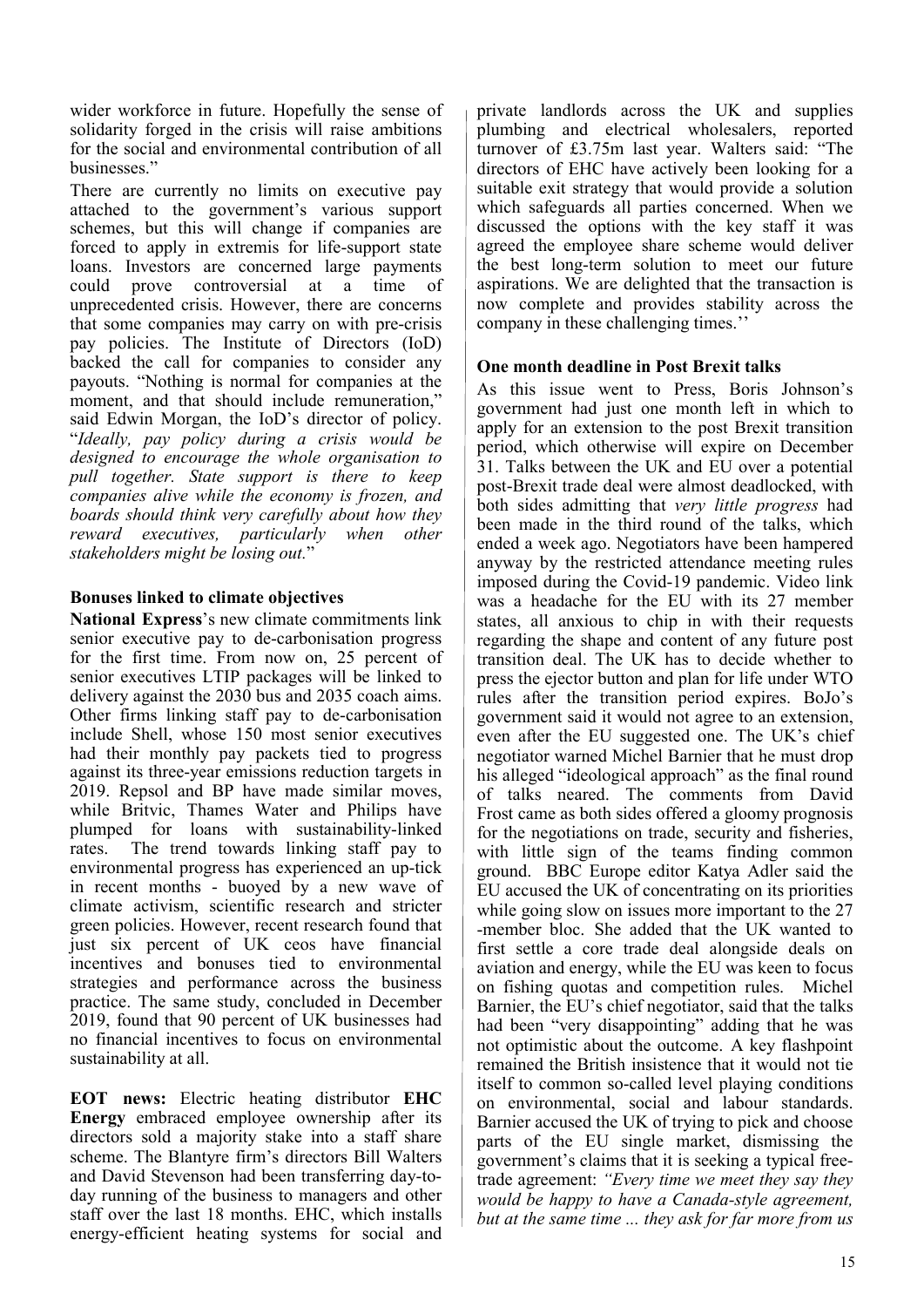wider workforce in future. Hopefully the sense of solidarity forged in the crisis will raise ambitions for the social and environmental contribution of all businesses."

There are currently no limits on executive pay attached to the government's various support schemes, but this will change if companies are forced to apply in extremis for life-support state loans. Investors are concerned large payments could prove controversial at a time of unprecedented crisis. However, there are concerns that some companies may carry on with pre-crisis pay policies. The Institute of Directors (IoD) backed the call for companies to consider any payouts. "Nothing is normal for companies at the moment, and that should include remuneration," said Edwin Morgan, the IoD's director of policy. "*Ideally, pay policy during a crisis would be designed to encourage the whole organisation to pull together. State support is there to keep companies alive while the economy is frozen, and boards should think very carefully about how they reward executives, particularly when other stakeholders might be losing out.*"

#### **Bonuses linked to climate objectives**

**National Express**'s new climate commitments link senior executive pay to de-carbonisation progress for the first time. From now on, 25 percent of senior executives LTIP packages will be linked to delivery against the 2030 bus and 2035 coach aims. Other firms linking staff pay to de-carbonisation include Shell, whose 150 most senior executives had their monthly pay packets tied to progress against its three-year emissions reduction targets in 2019. Repsol and BP have made similar moves, while Britvic, Thames Water and Philips have plumped for loans with sustainability-linked rates. The trend towards linking staff pay to environmental progress has experienced an up-tick in recent months - buoyed by a new wave of climate activism, scientific research and stricter green policies. However, recent research found that just six percent of UK ceos have financial incentives and bonuses tied to environmental strategies and performance across the business practice. The same study, concluded in December 2019, found that 90 percent of UK businesses had no financial incentives to focus on environmental sustainability at all.

**EOT news:** Electric heating distributor **EHC Energy** embraced employee ownership after its directors sold a majority stake into a staff share scheme. The Blantyre firm's directors Bill Walters and David Stevenson had been transferring day-today running of the business to managers and other staff over the last 18 months. EHC, which installs energy-efficient heating systems for social and

private landlords across the UK and supplies plumbing and electrical wholesalers, reported turnover of £3.75m last year. Walters said: "The directors of EHC have actively been looking for a suitable exit strategy that would provide a solution which safeguards all parties concerned. When we discussed the options with the key staff it was agreed the employee share scheme would deliver the best long-term solution to meet our future aspirations. We are delighted that the transaction is now complete and provides stability across the company in these challenging times.''

#### **One month deadline in Post Brexit talks**

As this issue went to Press, Boris Johnson's government had just one month left in which to apply for an extension to the post Brexit transition period, which otherwise will expire on December 31. Talks between the UK and EU over a potential post-Brexit trade deal were almost deadlocked, with both sides admitting that *very little progress* had been made in the third round of the talks, which ended a week ago. Negotiators have been hampered anyway by the restricted attendance meeting rules imposed during the Covid-19 pandemic. Video link was a headache for the EU with its 27 member states, all anxious to chip in with their requests regarding the shape and content of any future post transition deal. The UK has to decide whether to press the ejector button and plan for life under WTO rules after the transition period expires. BoJo's government said it would not agree to an extension, even after the EU suggested one. The UK's chief negotiator warned Michel Barnier that he must drop his alleged "ideological approach" as the final round of talks neared. The comments from David Frost came as both sides offered a gloomy prognosis for the negotiations on trade, security and fisheries, with little sign of the teams finding common ground. BBC Europe editor Katya Adler said the EU accused the UK of concentrating on its priorities while going slow on issues more important to the 27 -member bloc. She added that the UK wanted to first settle a core trade deal alongside deals on aviation and energy, while the EU was keen to focus on fishing quotas and competition rules. Michel Barnier, the EU's chief negotiator, said that the talks had been "very disappointing" adding that he was not optimistic about the outcome. A key flashpoint remained the British insistence that it would not tie itself to common so-called level playing conditions on environmental, social and labour standards. Barnier accused the UK of trying to pick and choose parts of the EU single market, dismissing the government's claims that it is seeking a typical freetrade agreement: *"Every time we meet they say they would be happy to have a Canada-style agreement, but at the same time ... they ask for far more from us*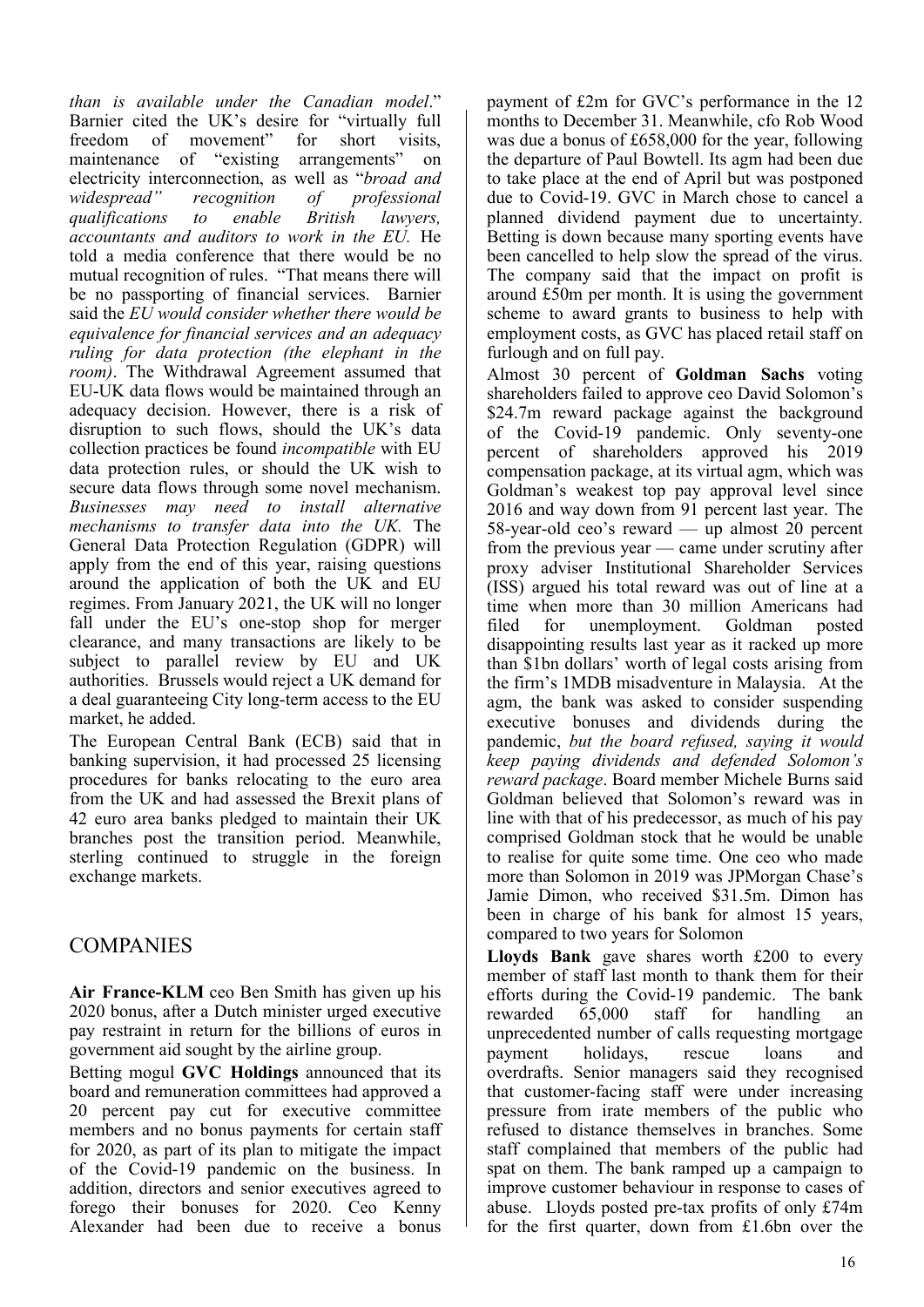*than is available under the Canadian model*." Barnier cited the UK's desire for "virtually full freedom of movement" for short visits, maintenance of "existing arrangements" on electricity interconnection, as well as "*broad and* widespread" recognition of professional *widespread" recognition of professional qualifications to enable British lawyers, accountants and auditors to work in the EU.* He told a media conference that there would be no mutual recognition of rules. "That means there will be no passporting of financial services. Barnier said the *EU would consider whether there would be equivalence for financial services and an adequacy ruling for data protection (the elephant in the room)*. The Withdrawal Agreement assumed that EU-UK data flows would be maintained through an adequacy decision. However, there is a risk of disruption to such flows, should the UK's data collection practices be found *incompatible* with EU data protection rules, or should the UK wish to secure data flows through some novel mechanism. *Businesses may need to install alternative mechanisms to transfer data into the UK.* The General Data Protection Regulation (GDPR) will apply from the end of this year, raising questions around the application of both the UK and EU regimes. From January 2021, the UK will no longer fall under the EU's one-stop shop for merger clearance, and many transactions are likely to be subject to parallel review by EU and UK authorities. Brussels would reject a UK demand for a deal guaranteeing City long-term access to the EU market, he added.

The European Central Bank (ECB) said that in banking supervision, it had processed 25 licensing procedures for banks relocating to the euro area from the UK and had assessed the Brexit plans of 42 euro area banks pledged to maintain their UK branches post the transition period. Meanwhile, sterling continued to struggle in the foreign exchange markets.

#### COMPANIES

**Air France-KLM** ceo Ben Smith has given up his 2020 bonus, after a Dutch minister urged executive pay restraint in return for the billions of euros in government aid sought by the airline group.

Betting mogul **GVC Holdings** announced that its board and remuneration committees had approved a 20 percent pay cut for executive committee members and no bonus payments for certain staff for 2020, as part of its plan to mitigate the impact of the Covid-19 pandemic on the business. In addition, directors and senior executives agreed to forego their bonuses for 2020. Ceo Kenny Alexander had been due to receive a bonus

payment of £2m for GVC's performance in the 12 months to December 31. Meanwhile, cfo Rob Wood was due a bonus of £658,000 for the year, following the departure of Paul Bowtell. Its agm had been due to take place at the end of April but was postponed due to Covid-19. GVC in March chose to cancel a planned dividend payment due to uncertainty. Betting is down because many sporting events have been cancelled to help slow the spread of the virus. The company said that the impact on profit is around £50m per month. It is using the government scheme to award grants to business to help with employment costs, as GVC has placed retail staff on furlough and on full pay.

Almost 30 percent of **Goldman Sachs** voting shareholders failed to approve ceo David Solomon's \$24.7m reward package against the background of the Covid-19 pandemic. Only seventy-one percent of shareholders approved his 2019 compensation package, at its virtual agm, which was Goldman's weakest top pay approval level since 2016 and way down from 91 percent last year. The 58-year-old ceo's reward — up almost 20 percent from the previous year — came under scrutiny after proxy adviser Institutional Shareholder Services (ISS) argued his total reward was out of line at a time when more than 30 million Americans had filed for unemployment. Goldman posted disappointing results last year as it racked up more than \$1bn dollars' worth of legal costs arising from the firm's 1MDB misadventure in Malaysia.At the agm, the bank was asked to consider suspending executive bonuses and dividends during the pandemic, *but the board refused, saying it would keep paying dividends and defended Solomon's reward package*. Board member Michele Burns said Goldman believed that Solomon's reward was in line with that of his predecessor, as much of his pay comprised Goldman stock that he would be unable to realise for quite some time. One ceo who made more than Solomon in 2019 was JPMorgan Chase's Jamie Dimon, who received \$31.5m. Dimon has been in charge of his bank for almost 15 years, compared to two years for Solomon

**Lloyds Bank** gave shares worth £200 to every member of staff last month to thank them for their efforts during the Covid-19 pandemic. The bank rewarded 65,000 staff for handling an unprecedented number of calls requesting mortgage payment holidays, rescue loans and overdrafts. Senior managers said they recognised that customer-facing staff were under increasing pressure from irate members of the public who refused to distance themselves in branches. Some staff complained that members of the public had spat on them. The bank ramped up a campaign to improve customer behaviour in response to cases of abuse. Lloyds posted pre-tax profits of only £74m for the first quarter, down from £1.6bn over the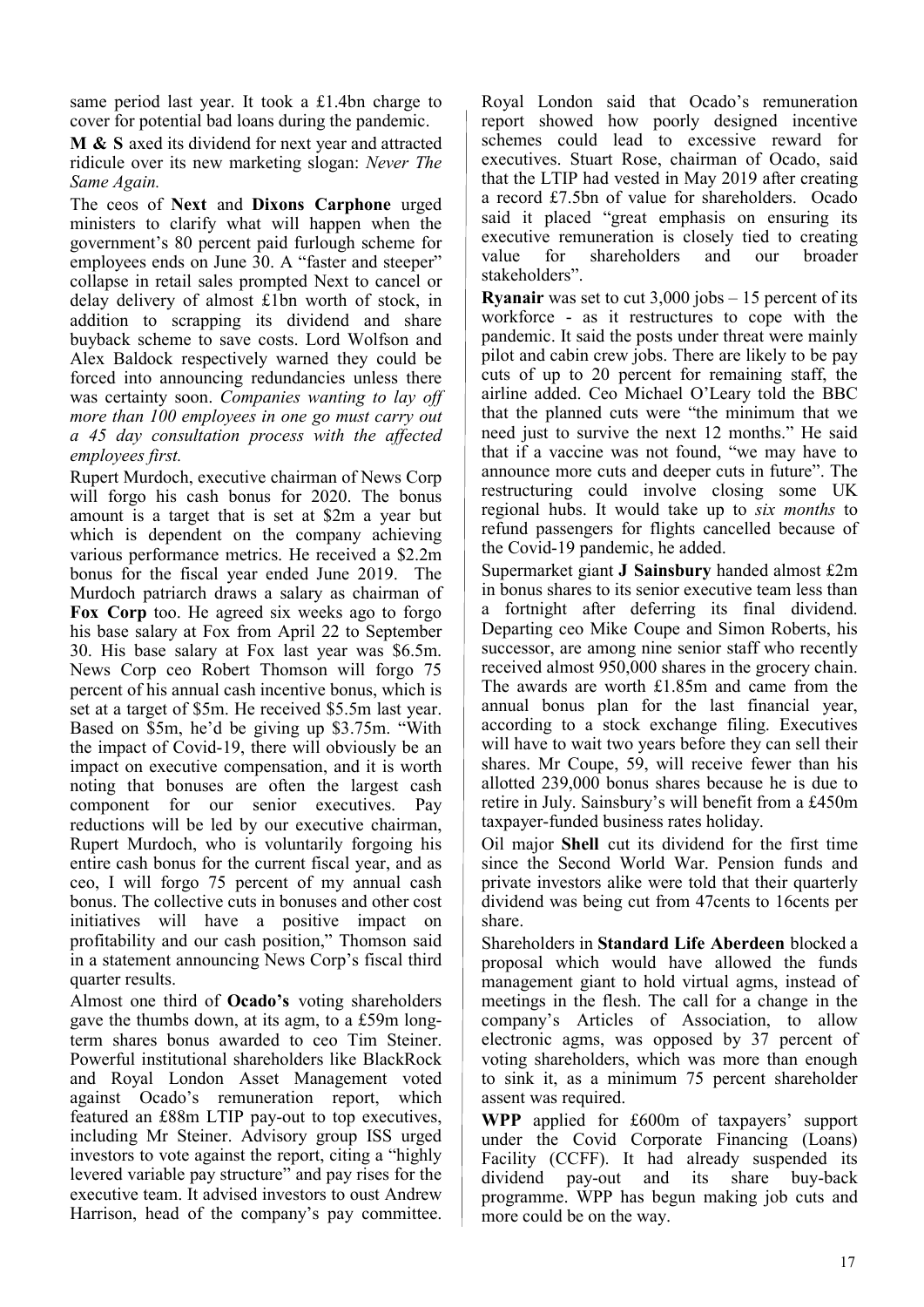same period last year. It took a £1.4bn charge to cover for potential bad loans during the pandemic.

**M & S** axed its dividend for next year and attracted ridicule over its new marketing slogan: *Never The Same Again.* 

The ceos of **Next** and **Dixons Carphone** urged ministers to clarify what will happen when the government's 80 percent paid furlough scheme for employees ends on June 30. A "faster and steeper" collapse in retail sales prompted Next to cancel or delay delivery of almost £1bn worth of stock, in addition to scrapping its dividend and share buyback scheme to save costs. Lord Wolfson and Alex Baldock respectively warned they could be forced into announcing redundancies unless there was certainty soon. *Companies wanting to lay off more than 100 employees in one go must carry out a 45 day consultation process with the affected employees first.* 

Rupert Murdoch, executive chairman of News Corp will forgo his cash bonus for 2020. The bonus amount is a target that is set at \$2m a year but which is dependent on the company achieving various performance metrics. He received a \$2.2m bonus for the fiscal year ended June 2019. The Murdoch patriarch draws a salary as chairman of **Fox Corp** too. He agreed six weeks ago to forgo his base salary at Fox from April 22 to September 30. His base salary at Fox last year was \$6.5m. News Corp ceo Robert Thomson will forgo 75 percent of his annual cash incentive bonus, which is set at a target of \$5m. He received \$5.5m last year. Based on \$5m, he'd be giving up \$3.75m. "With the impact of Covid-19, there will obviously be an impact on executive compensation, and it is worth noting that bonuses are often the largest cash component for our senior executives. Pay reductions will be led by our executive chairman, Rupert Murdoch, who is voluntarily forgoing his entire cash bonus for the current fiscal year, and as ceo, I will forgo 75 percent of my annual cash bonus. The collective cuts in bonuses and other cost initiatives will have a positive impact on profitability and our cash position," Thomson said in a statement announcing News Corp's fiscal third quarter results.

Almost one third of **Ocado's** voting shareholders gave the thumbs down, at its agm, to a £59m longterm shares bonus awarded to ceo Tim Steiner. Powerful institutional shareholders like BlackRock and Royal London Asset Management voted against Ocado's remuneration report, which featured an £88m LTIP pay-out to top executives, including Mr Steiner. Advisory group ISS urged investors to vote against the report, citing a "highly levered variable pay structure" and pay rises for the executive team. It advised investors to oust Andrew Harrison, head of the company's pay committee.

Royal London said that Ocado's remuneration report showed how poorly designed incentive schemes could lead to excessive reward for executives. Stuart Rose, chairman of Ocado, said that the LTIP had vested in May 2019 after creating a record £7.5bn of value for shareholders. Ocado said it placed "great emphasis on ensuring its executive remuneration is closely tied to creating value for shareholders and our broader stakeholders".

**Ryanair** was set to cut 3,000 jobs – 15 percent of its workforce - as it restructures to cope with the pandemic. It said the posts under threat were mainly pilot and cabin crew jobs. There are likely to be pay cuts of up to 20 percent for remaining staff, the airline added. Ceo Michael O'Leary told the BBC that the planned cuts were "the minimum that we need just to survive the next 12 months." He said that if a vaccine was not found, "we may have to announce more cuts and deeper cuts in future". The restructuring could involve closing some UK regional hubs. It would take up to *six months* to refund passengers for flights cancelled because of the Covid-19 pandemic, he added.

Supermarket giant **J Sainsbury** handed almost £2m in bonus shares to its senior executive team less than a fortnight after deferring its final dividend. Departing ceo Mike Coupe and Simon Roberts, his successor, are among nine senior staff who recently received almost 950,000 shares in the grocery chain. The awards are worth £1.85m and came from the annual bonus plan for the last financial year, according to a stock exchange filing. Executives will have to wait two years before they can sell their shares. Mr Coupe, 59, will receive fewer than his allotted 239,000 bonus shares because he is due to retire in July. Sainsbury's will benefit from a £450m taxpayer-funded business rates holiday.

Oil major **Shell** cut its dividend for the first time since the Second World War. Pension funds and private investors alike were told that their quarterly dividend was being cut from 47cents to 16cents per share.

Shareholders in **Standard Life Aberdeen** blocked a proposal which would have allowed the funds management giant to hold virtual agms, instead of meetings in the flesh. The call for a change in the company's Articles of Association, to allow electronic agms, was opposed by 37 percent of voting shareholders, which was more than enough to sink it, as a minimum 75 percent shareholder assent was required.

**WPP** applied for £600m of taxpayers' support under the Covid Corporate Financing (Loans) Facility (CCFF). It had already suspended its dividend pay-out and its share buy-back programme. WPP has begun making job cuts and more could be on the way.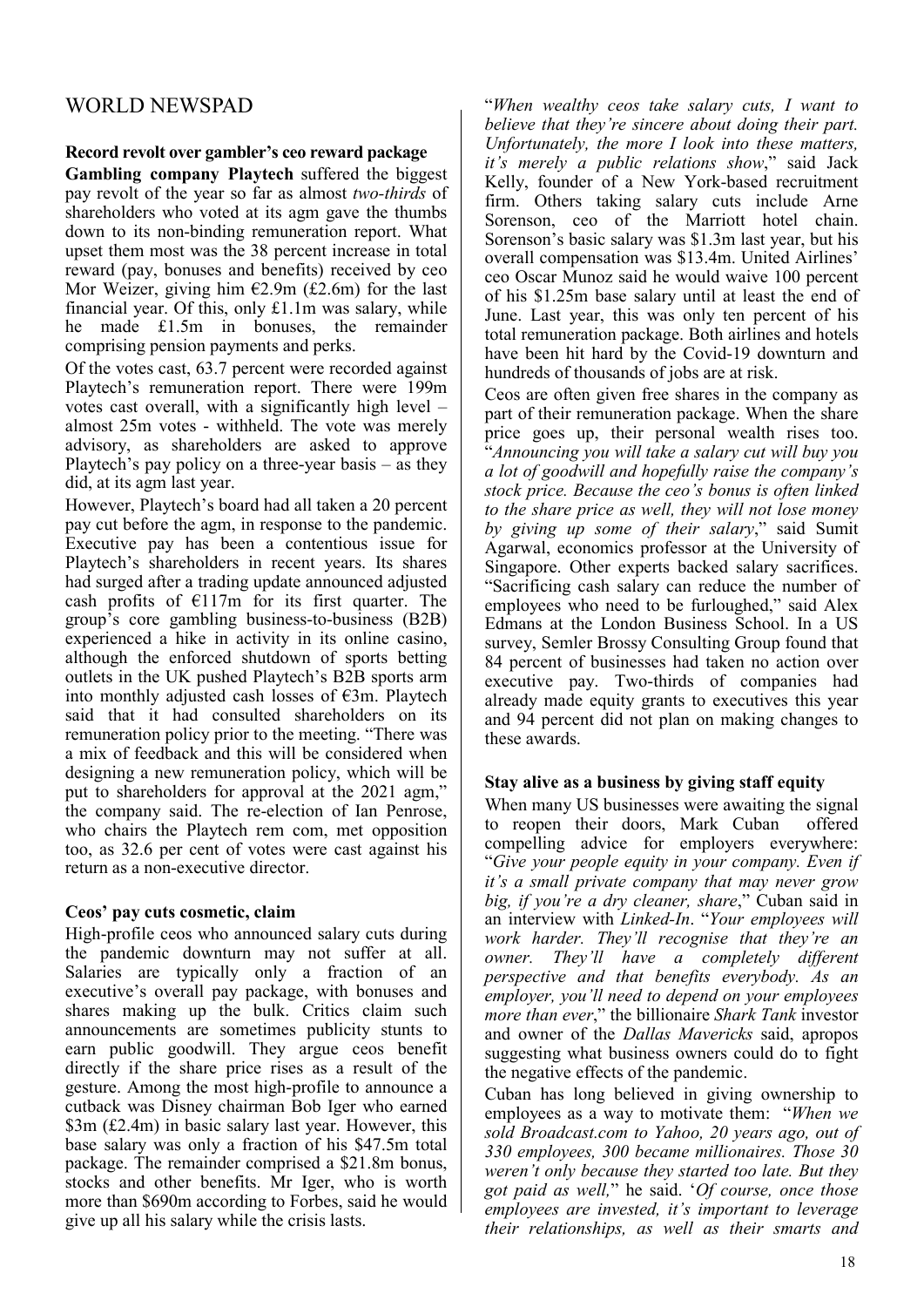#### WORLD NEWSPAD

#### **Record revolt over gambler's ceo reward package**

**Gambling company Playtech** suffered the biggest pay revolt of the year so far as almost *two-thirds* of shareholders who voted at its agm gave the thumbs down to its non-binding remuneration report. What upset them most was the 38 percent increase in total reward (pay, bonuses and benefits) received by ceo Mor Weizer, giving him  $E2.9m$  (£2.6m) for the last financial year. Of this, only £1.1m was salary, while he made £1.5m in bonuses, the remainder comprising pension payments and perks.

Of the votes cast, 63.7 percent were recorded against Playtech's remuneration report. There were 199m votes cast overall, with a significantly high level – almost 25m votes - withheld. The vote was merely advisory, as shareholders are asked to approve Playtech's pay policy on a three-year basis – as they did, at its agm last year.

However, Playtech's board had all taken a 20 percent pay cut before the agm, in response to the pandemic. Executive pay has been a contentious issue for Playtech's shareholders in recent years. Its shares had surged after a trading update announced adjusted cash profits of  $E117m$  for its first quarter. The group's core gambling business-to-business (B2B) experienced a hike in activity in its online casino, although the enforced shutdown of sports betting outlets in the UK pushed Playtech's B2B sports arm into monthly adjusted cash losses of  $\epsilon$ 3m. Playtech said that it had consulted shareholders on its remuneration policy prior to the meeting. "There was a mix of feedback and this will be considered when designing a new remuneration policy, which will be put to shareholders for approval at the 2021 agm," the company said. The re-election of Ian Penrose, who chairs the Playtech rem com, met opposition too, as 32.6 per cent of votes were cast against his return as a non-executive director.

#### **Ceos' pay cuts cosmetic, claim**

High-profile ceos who announced salary cuts during the pandemic downturn may not suffer at all. Salaries are typically only a fraction of an executive's overall pay package, with bonuses and shares making up the bulk. Critics claim such announcements are sometimes publicity stunts to earn public goodwill. They argue ceos benefit directly if the share price rises as a result of the gesture. Among the most high-profile to announce a cutback was Disney chairman Bob Iger who earned \$3m (£2.4m) in basic salary last year. However, this base salary was only a fraction of his \$47.5m total package. The remainder comprised a \$21.8m bonus, stocks and other benefits. Mr Iger, who is worth more than \$690m according to Forbes, said he would give up all his salary while the crisis lasts.

"*When wealthy ceos take salary cuts, I want to believe that they're sincere about doing their part. Unfortunately, the more I look into these matters, it's merely a public relations show*," said Jack Kelly, founder of a New York-based recruitment firm. Others taking salary cuts include Arne Sorenson, ceo of the Marriott hotel chain. Sorenson's basic salary was \$1.3m last year, but his overall compensation was \$13.4m. United Airlines' ceo Oscar Munoz said he would waive 100 percent of his \$1.25m base salary until at least the end of June. Last year, this was only ten percent of his total remuneration package. Both airlines and hotels have been hit hard by the Covid-19 downturn and hundreds of thousands of jobs are at risk.

Ceos are often given free shares in the company as part of their remuneration package. When the share price goes up, their personal wealth rises too. "*Announcing you will take a salary cut will buy you a lot of goodwill and hopefully raise the company's stock price. Because the ceo's bonus is often linked to the share price as well, they will not lose money by giving up some of their salary*," said Sumit Agarwal, economics professor at the University of Singapore. Other experts backed salary sacrifices. "Sacrificing cash salary can reduce the number of employees who need to be furloughed," said Alex Edmans at the London Business School. In a US survey, Semler Brossy Consulting Group found that 84 percent of businesses had taken no action over executive pay. Two-thirds of companies had already made equity grants to executives this year and 94 percent did not plan on making changes to these awards.

#### **Stay alive as a business by giving staff equity**

When many US businesses were awaiting the signal to reopen their doors, Mark Cuban offered compelling advice for employers everywhere: "*Give your people equity in your company. Even if it's a small private company that may never grow big, if you're a dry cleaner, share*," Cuban said in an interview with *Linked-In*. "*Your employees will work harder. They'll recognise that they're an owner. They'll have a completely different perspective and that benefits everybody. As an employer, you'll need to depend on your employees more than ever*," the billionaire *Shark Tank* investor and owner of the *Dallas Mavericks* said, apropos suggesting what business owners could do to fight the negative effects of the pandemic.

Cuban has long believed in giving ownership to employees as a way to motivate them: "*When we sold Broadcast.com to Yahoo, 20 years ago, out of 330 employees, 300 became millionaires. Those 30 weren't only because they started too late. But they got paid as well,*" he said. '*Of course, once those employees are invested, it's important to leverage their relationships, as well as their smarts and*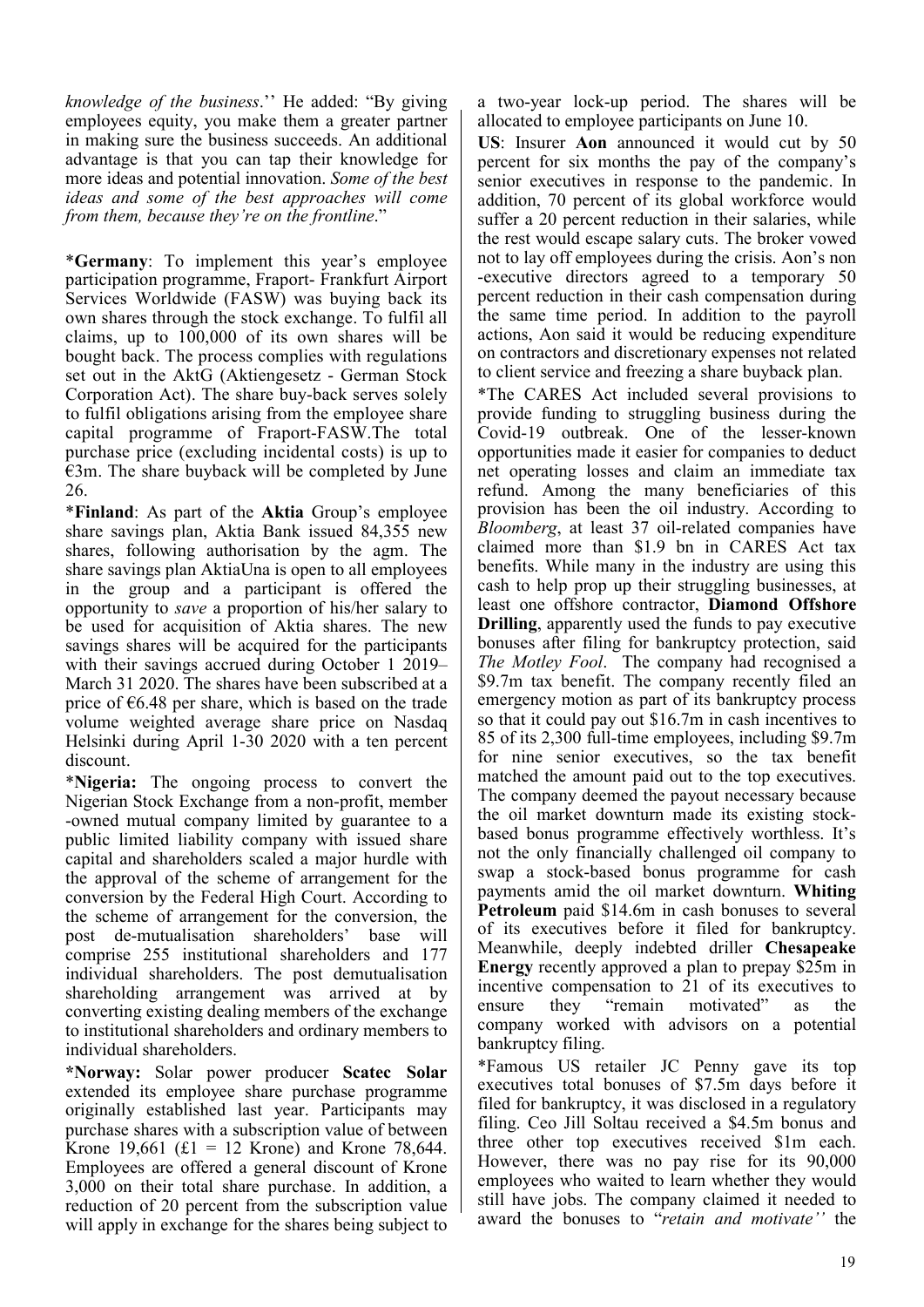*knowledge of the business*.'' He added: "By giving employees equity, you make them a greater partner in making sure the business succeeds. An additional advantage is that you can tap their knowledge for more ideas and potential innovation. *Some of the best ideas and some of the best approaches will come from them, because they're on the frontline*."

\***Germany**: To implement this year's employee participation programme, Fraport- Frankfurt Airport Services Worldwide (FASW) was buying back its own shares through the stock exchange. To fulfil all claims, up to 100,000 of its own shares will be bought back. The process complies with regulations set out in the AktG (Aktiengesetz - German Stock Corporation Act). The share buy-back serves solely to fulfil obligations arising from the employee share capital programme of Fraport-FASW.The total purchase price (excluding incidental costs) is up to  $€3m$ . The share buyback will be completed by June 26.

\***Finland**: As part of the **Aktia** Group's employee share savings plan, Aktia Bank issued 84,355 new shares, following authorisation by the agm. The share savings plan AktiaUna is open to all employees in the group and a participant is offered the opportunity to *save* a proportion of his/her salary to be used for acquisition of Aktia shares. The new savings shares will be acquired for the participants with their savings accrued during October 1 2019– March 31 2020. The shares have been subscribed at a price of  $\epsilon$ 6.48 per share, which is based on the trade volume weighted average share price on Nasdaq Helsinki during April 1-30 2020 with a ten percent discount.

\***Nigeria:** The ongoing process to convert the Nigerian Stock Exchange from a non-profit, member -owned mutual company limited by guarantee to a public limited liability company with issued share capital and shareholders scaled a major hurdle with the approval of the scheme of arrangement for the conversion by the Federal High Court. According to the scheme of arrangement for the conversion, the post de-mutualisation shareholders' base will comprise 255 institutional shareholders and 177 individual shareholders. The post demutualisation shareholding arrangement was arrived at by converting existing dealing members of the exchange to institutional shareholders and ordinary members to individual shareholders.

**\*Norway:** Solar power producer **Scatec Solar** extended its employee share purchase programme originally established last year. Participants may purchase shares with a subscription value of between Krone 19,661 (£1 = 12 Krone) and Krone 78,644. Employees are offered a general discount of Krone 3,000 on their total share purchase. In addition, a reduction of 20 percent from the subscription value will apply in exchange for the shares being subject to

a two-year lock-up period. The shares will be allocated to employee participants on June 10.

**US**: Insurer **Aon** announced it would cut by 50 percent for six months the pay of the company's senior executives in response to the pandemic. In addition, 70 percent of its global workforce would suffer a 20 percent reduction in their salaries, while the rest would escape salary cuts. The broker vowed not to lay off employees during the crisis. Aon's non -executive directors agreed to a temporary 50 percent reduction in their cash compensation during the same time period. In addition to the payroll actions, Aon said it would be reducing expenditure on contractors and discretionary expenses not related to client service and freezing a share buyback plan.

\*The CARES Act included several provisions to provide funding to struggling business during the Covid-19 outbreak. One of the lesser-known opportunities made it easier for companies to deduct net operating losses and claim an immediate tax refund. Among the many beneficiaries of this provision has been the oil industry. According to *Bloomberg*, at least 37 oil-related companies have claimed more than \$1.9 bn in CARES Act tax benefits. While many in the industry are using this cash to help prop up their struggling businesses, at least one offshore contractor, **Diamond Offshore Drilling**, apparently used the funds to pay executive bonuses after filing for bankruptcy protection, said *The Motley Fool*. The company had recognised a \$9.7m tax benefit. The company recently filed an emergency motion as part of its bankruptcy process so that it could pay out \$16.7m in cash incentives to 85 of its 2,300 full-time employees, including \$9.7m for nine senior executives, so the tax benefit matched the amount paid out to the top executives. The company deemed the payout necessary because the oil market downturn made its existing stockbased bonus programme effectively worthless. It's not the only financially challenged oil company to swap a stock-based bonus programme for cash payments amid the oil market downturn. **Whiting Petroleum** paid \$14.6m in cash bonuses to several of its executives before it filed for bankruptcy. Meanwhile, deeply indebted driller **Chesapeake Energy** recently approved a plan to prepay \$25m in incentive compensation to 21 of its executives to ensure they "remain motivated" as the company worked with advisors on a potential bankruptcy filing.

\*Famous US retailer JC Penny gave its top executives total bonuses of \$7.5m days before it filed for bankruptcy, it was disclosed in a regulatory filing. Ceo Jill Soltau received a \$4.5m bonus and three other top executives received \$1m each. However, there was no pay rise for its 90,000 employees who waited to learn whether they would still have jobs. The company claimed it needed to award the bonuses to "*retain and motivate''* the